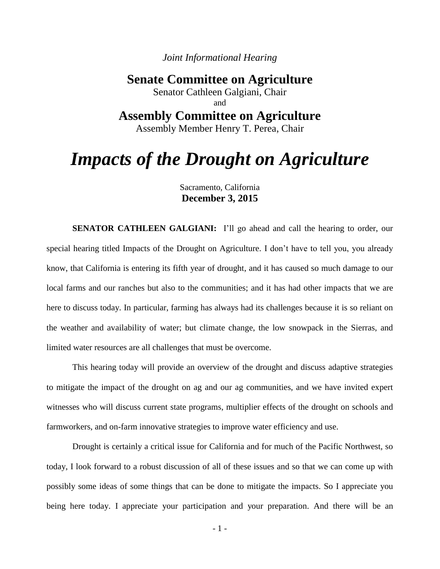*Joint Informational Hearing*

# **Senate Committee on Agriculture**

Senator Cathleen Galgiani, Chair and

# **Assembly Committee on Agriculture**

Assembly Member Henry T. Perea, Chair

# *Impacts of the Drought on Agriculture*

# Sacramento, California **December 3, 2015**

**SENATOR CATHLEEN GALGIANI:** I'll go ahead and call the hearing to order, our special hearing titled Impacts of the Drought on Agriculture. I don't have to tell you, you already know, that California is entering its fifth year of drought, and it has caused so much damage to our local farms and our ranches but also to the communities; and it has had other impacts that we are here to discuss today. In particular, farming has always had its challenges because it is so reliant on the weather and availability of water; but climate change, the low snowpack in the Sierras, and limited water resources are all challenges that must be overcome.

This hearing today will provide an overview of the drought and discuss adaptive strategies to mitigate the impact of the drought on ag and our ag communities, and we have invited expert witnesses who will discuss current state programs, multiplier effects of the drought on schools and farmworkers, and on-farm innovative strategies to improve water efficiency and use.

Drought is certainly a critical issue for California and for much of the Pacific Northwest, so today, I look forward to a robust discussion of all of these issues and so that we can come up with possibly some ideas of some things that can be done to mitigate the impacts. So I appreciate you being here today. I appreciate your participation and your preparation. And there will be an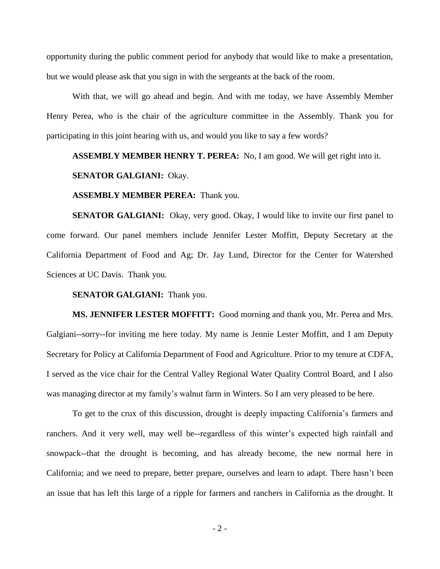opportunity during the public comment period for anybody that would like to make a presentation, but we would please ask that you sign in with the sergeants at the back of the room.

With that, we will go ahead and begin. And with me today, we have Assembly Member Henry Perea, who is the chair of the agriculture committee in the Assembly. Thank you for participating in this joint hearing with us, and would you like to say a few words?

# **ASSEMBLY MEMBER HENRY T. PEREA:** No, I am good. We will get right into it.

# **SENATOR GALGIANI:** Okay.

## **ASSEMBLY MEMBER PEREA:** Thank you.

**SENATOR GALGIANI:** Okay, very good. Okay, I would like to invite our first panel to come forward. Our panel members include Jennifer Lester Moffitt, Deputy Secretary at the California Department of Food and Ag; Dr. Jay Lund, Director for the Center for Watershed Sciences at UC Davis. Thank you.

# **SENATOR GALGIANI:** Thank you.

**MS. JENNIFER LESTER MOFFITT:** Good morning and thank you, Mr. Perea and Mrs. Galgiani--sorry--for inviting me here today. My name is Jennie Lester Moffitt, and I am Deputy Secretary for Policy at California Department of Food and Agriculture. Prior to my tenure at CDFA, I served as the vice chair for the Central Valley Regional Water Quality Control Board, and I also was managing director at my family's walnut farm in Winters. So I am very pleased to be here.

To get to the crux of this discussion, drought is deeply impacting California's farmers and ranchers. And it very well, may well be--regardless of this winter's expected high rainfall and snowpack--that the drought is becoming, and has already become, the new normal here in California; and we need to prepare, better prepare, ourselves and learn to adapt. There hasn't been an issue that has left this large of a ripple for farmers and ranchers in California as the drought. It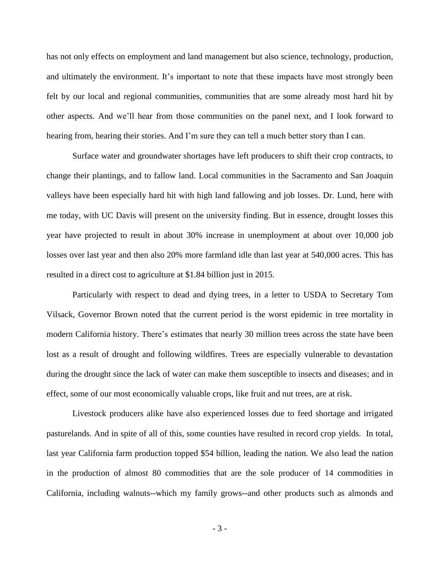has not only effects on employment and land management but also science, technology, production, and ultimately the environment. It's important to note that these impacts have most strongly been felt by our local and regional communities, communities that are some already most hard hit by other aspects. And we'll hear from those communities on the panel next, and I look forward to hearing from, hearing their stories. And I'm sure they can tell a much better story than I can.

Surface water and groundwater shortages have left producers to shift their crop contracts, to change their plantings, and to fallow land. Local communities in the Sacramento and San Joaquin valleys have been especially hard hit with high land fallowing and job losses. Dr. Lund, here with me today, with UC Davis will present on the university finding. But in essence, drought losses this year have projected to result in about 30% increase in unemployment at about over 10,000 job losses over last year and then also 20% more farmland idle than last year at 540,000 acres. This has resulted in a direct cost to agriculture at \$1.84 billion just in 2015.

Particularly with respect to dead and dying trees, in a letter to USDA to Secretary Tom Vilsack, Governor Brown noted that the current period is the worst epidemic in tree mortality in modern California history. There's estimates that nearly 30 million trees across the state have been lost as a result of drought and following wildfires. Trees are especially vulnerable to devastation during the drought since the lack of water can make them susceptible to insects and diseases; and in effect, some of our most economically valuable crops, like fruit and nut trees, are at risk.

Livestock producers alike have also experienced losses due to feed shortage and irrigated pasturelands. And in spite of all of this, some counties have resulted in record crop yields. In total, last year California farm production topped \$54 billion, leading the nation. We also lead the nation in the production of almost 80 commodities that are the sole producer of 14 commodities in California, including walnuts--which my family grows--and other products such as almonds and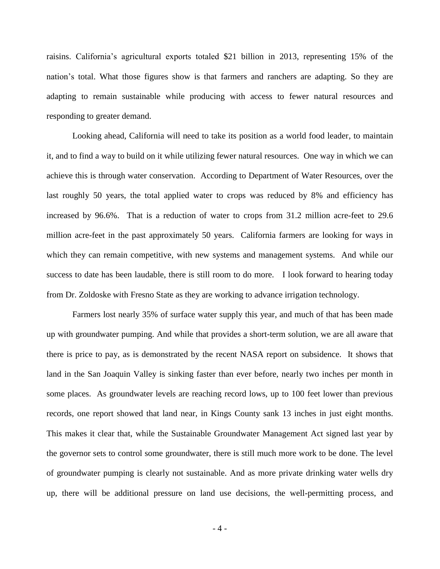raisins. California's agricultural exports totaled \$21 billion in 2013, representing 15% of the nation's total. What those figures show is that farmers and ranchers are adapting. So they are adapting to remain sustainable while producing with access to fewer natural resources and responding to greater demand.

Looking ahead, California will need to take its position as a world food leader, to maintain it, and to find a way to build on it while utilizing fewer natural resources. One way in which we can achieve this is through water conservation. According to Department of Water Resources, over the last roughly 50 years, the total applied water to crops was reduced by 8% and efficiency has increased by 96.6%. That is a reduction of water to crops from 31.2 million acre-feet to 29.6 million acre-feet in the past approximately 50 years. California farmers are looking for ways in which they can remain competitive, with new systems and management systems. And while our success to date has been laudable, there is still room to do more. I look forward to hearing today from Dr. Zoldoske with Fresno State as they are working to advance irrigation technology.

Farmers lost nearly 35% of surface water supply this year, and much of that has been made up with groundwater pumping. And while that provides a short-term solution, we are all aware that there is price to pay, as is demonstrated by the recent NASA report on subsidence. It shows that land in the San Joaquin Valley is sinking faster than ever before, nearly two inches per month in some places. As groundwater levels are reaching record lows, up to 100 feet lower than previous records, one report showed that land near, in Kings County sank 13 inches in just eight months. This makes it clear that, while the Sustainable Groundwater Management Act signed last year by the governor sets to control some groundwater, there is still much more work to be done. The level of groundwater pumping is clearly not sustainable. And as more private drinking water wells dry up, there will be additional pressure on land use decisions, the well-permitting process, and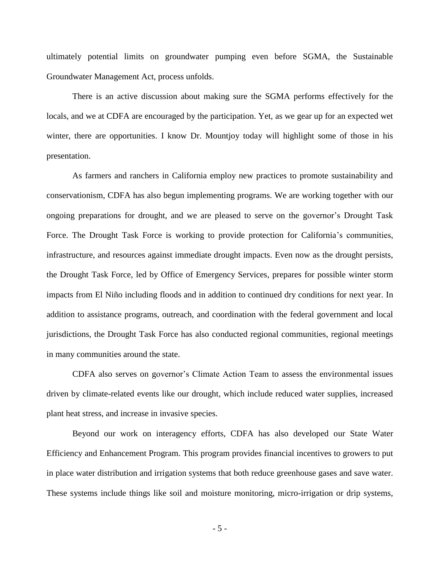ultimately potential limits on groundwater pumping even before SGMA, the Sustainable Groundwater Management Act, process unfolds.

There is an active discussion about making sure the SGMA performs effectively for the locals, and we at CDFA are encouraged by the participation. Yet, as we gear up for an expected wet winter, there are opportunities. I know Dr. Mountjoy today will highlight some of those in his presentation.

As farmers and ranchers in California employ new practices to promote sustainability and conservationism, CDFA has also begun implementing programs. We are working together with our ongoing preparations for drought, and we are pleased to serve on the governor's Drought Task Force. The Drought Task Force is working to provide protection for California's communities, infrastructure, and resources against immediate drought impacts. Even now as the drought persists, the Drought Task Force, led by Office of Emergency Services, prepares for possible winter storm impacts from El Niño including floods and in addition to continued dry conditions for next year. In addition to assistance programs, outreach, and coordination with the federal government and local jurisdictions, the Drought Task Force has also conducted regional communities, regional meetings in many communities around the state.

CDFA also serves on governor's Climate Action Team to assess the environmental issues driven by climate-related events like our drought, which include reduced water supplies, increased plant heat stress, and increase in invasive species.

Beyond our work on interagency efforts, CDFA has also developed our State Water Efficiency and Enhancement Program. This program provides financial incentives to growers to put in place water distribution and irrigation systems that both reduce greenhouse gases and save water. These systems include things like soil and moisture monitoring, micro-irrigation or drip systems,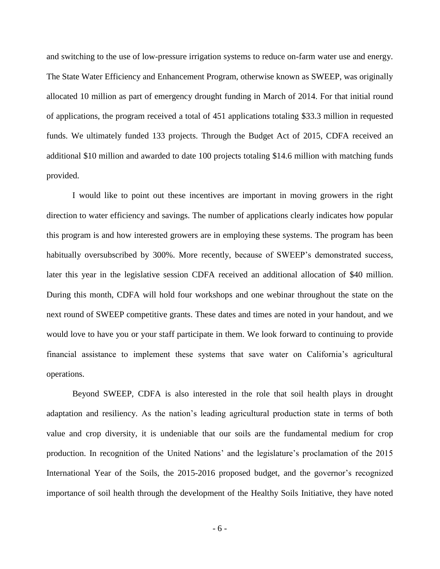and switching to the use of low-pressure irrigation systems to reduce on-farm water use and energy. The State Water Efficiency and Enhancement Program, otherwise known as SWEEP, was originally allocated 10 million as part of emergency drought funding in March of 2014. For that initial round of applications, the program received a total of 451 applications totaling \$33.3 million in requested funds. We ultimately funded 133 projects. Through the Budget Act of 2015, CDFA received an additional \$10 million and awarded to date 100 projects totaling \$14.6 million with matching funds provided.

I would like to point out these incentives are important in moving growers in the right direction to water efficiency and savings. The number of applications clearly indicates how popular this program is and how interested growers are in employing these systems. The program has been habitually oversubscribed by 300%. More recently, because of SWEEP's demonstrated success, later this year in the legislative session CDFA received an additional allocation of \$40 million. During this month, CDFA will hold four workshops and one webinar throughout the state on the next round of SWEEP competitive grants. These dates and times are noted in your handout, and we would love to have you or your staff participate in them. We look forward to continuing to provide financial assistance to implement these systems that save water on California's agricultural operations.

Beyond SWEEP, CDFA is also interested in the role that soil health plays in drought adaptation and resiliency. As the nation's leading agricultural production state in terms of both value and crop diversity, it is undeniable that our soils are the fundamental medium for crop production. In recognition of the United Nations' and the legislature's proclamation of the 2015 International Year of the Soils, the 2015-2016 proposed budget, and the governor's recognized importance of soil health through the development of the Healthy Soils Initiative, they have noted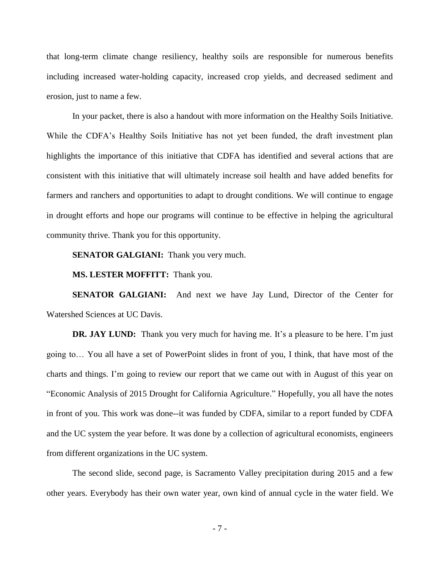that long-term climate change resiliency, healthy soils are responsible for numerous benefits including increased water-holding capacity, increased crop yields, and decreased sediment and erosion, just to name a few.

In your packet, there is also a handout with more information on the Healthy Soils Initiative. While the CDFA's Healthy Soils Initiative has not yet been funded, the draft investment plan highlights the importance of this initiative that CDFA has identified and several actions that are consistent with this initiative that will ultimately increase soil health and have added benefits for farmers and ranchers and opportunities to adapt to drought conditions. We will continue to engage in drought efforts and hope our programs will continue to be effective in helping the agricultural community thrive. Thank you for this opportunity.

**SENATOR GALGIANI:** Thank you very much.

**MS. LESTER MOFFITT:** Thank you.

**SENATOR GALGIANI:** And next we have Jay Lund, Director of the Center for Watershed Sciences at UC Davis.

**DR.** JAY LUND: Thank you very much for having me. It's a pleasure to be here. I'm just going to… You all have a set of PowerPoint slides in front of you, I think, that have most of the charts and things. I'm going to review our report that we came out with in August of this year on "Economic Analysis of 2015 Drought for California Agriculture." Hopefully, you all have the notes in front of you. This work was done--it was funded by CDFA, similar to a report funded by CDFA and the UC system the year before. It was done by a collection of agricultural economists, engineers from different organizations in the UC system.

The second slide, second page, is Sacramento Valley precipitation during 2015 and a few other years. Everybody has their own water year, own kind of annual cycle in the water field. We

- 7 -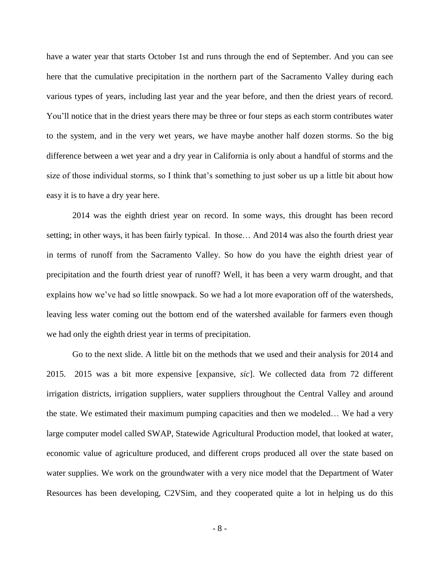have a water year that starts October 1st and runs through the end of September. And you can see here that the cumulative precipitation in the northern part of the Sacramento Valley during each various types of years, including last year and the year before, and then the driest years of record. You'll notice that in the driest years there may be three or four steps as each storm contributes water to the system, and in the very wet years, we have maybe another half dozen storms. So the big difference between a wet year and a dry year in California is only about a handful of storms and the size of those individual storms, so I think that's something to just sober us up a little bit about how easy it is to have a dry year here.

2014 was the eighth driest year on record. In some ways, this drought has been record setting; in other ways, it has been fairly typical. In those… And 2014 was also the fourth driest year in terms of runoff from the Sacramento Valley. So how do you have the eighth driest year of precipitation and the fourth driest year of runoff? Well, it has been a very warm drought, and that explains how we've had so little snowpack. So we had a lot more evaporation off of the watersheds, leaving less water coming out the bottom end of the watershed available for farmers even though we had only the eighth driest year in terms of precipitation.

Go to the next slide. A little bit on the methods that we used and their analysis for 2014 and 2015. 2015 was a bit more expensive [expansive, *sic*]. We collected data from 72 different irrigation districts, irrigation suppliers, water suppliers throughout the Central Valley and around the state. We estimated their maximum pumping capacities and then we modeled… We had a very large computer model called SWAP, Statewide Agricultural Production model, that looked at water, economic value of agriculture produced, and different crops produced all over the state based on water supplies. We work on the groundwater with a very nice model that the Department of Water Resources has been developing, C2VSim, and they cooperated quite a lot in helping us do this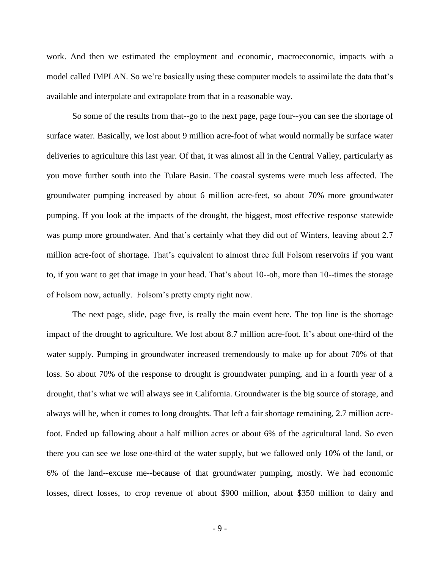work. And then we estimated the employment and economic, macroeconomic, impacts with a model called IMPLAN. So we're basically using these computer models to assimilate the data that's available and interpolate and extrapolate from that in a reasonable way.

So some of the results from that--go to the next page, page four--you can see the shortage of surface water. Basically, we lost about 9 million acre-foot of what would normally be surface water deliveries to agriculture this last year. Of that, it was almost all in the Central Valley, particularly as you move further south into the Tulare Basin. The coastal systems were much less affected. The groundwater pumping increased by about 6 million acre-feet, so about 70% more groundwater pumping. If you look at the impacts of the drought, the biggest, most effective response statewide was pump more groundwater. And that's certainly what they did out of Winters, leaving about 2.7 million acre-foot of shortage. That's equivalent to almost three full Folsom reservoirs if you want to, if you want to get that image in your head. That's about 10--oh, more than 10--times the storage of Folsom now, actually. Folsom's pretty empty right now.

The next page, slide, page five, is really the main event here. The top line is the shortage impact of the drought to agriculture. We lost about 8.7 million acre-foot. It's about one-third of the water supply. Pumping in groundwater increased tremendously to make up for about 70% of that loss. So about 70% of the response to drought is groundwater pumping, and in a fourth year of a drought, that's what we will always see in California. Groundwater is the big source of storage, and always will be, when it comes to long droughts. That left a fair shortage remaining, 2.7 million acrefoot. Ended up fallowing about a half million acres or about 6% of the agricultural land. So even there you can see we lose one-third of the water supply, but we fallowed only 10% of the land, or 6% of the land--excuse me--because of that groundwater pumping, mostly. We had economic losses, direct losses, to crop revenue of about \$900 million, about \$350 million to dairy and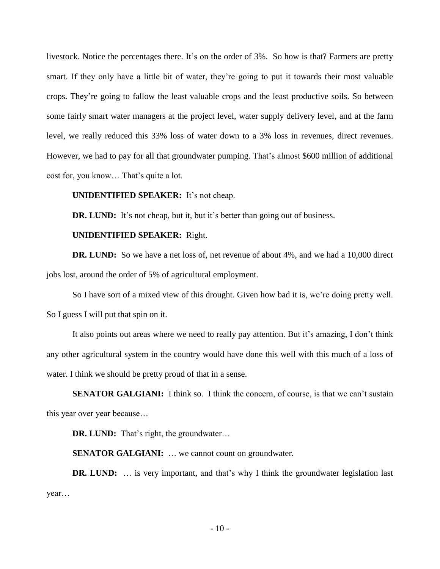livestock. Notice the percentages there. It's on the order of 3%. So how is that? Farmers are pretty smart. If they only have a little bit of water, they're going to put it towards their most valuable crops. They're going to fallow the least valuable crops and the least productive soils. So between some fairly smart water managers at the project level, water supply delivery level, and at the farm level, we really reduced this 33% loss of water down to a 3% loss in revenues, direct revenues. However, we had to pay for all that groundwater pumping. That's almost \$600 million of additional cost for, you know… That's quite a lot.

#### **UNIDENTIFIED SPEAKER:** It's not cheap.

**DR.** LUND: It's not cheap, but it, but it's better than going out of business.

# **UNIDENTIFIED SPEAKER:** Right.

**DR.** LUND: So we have a net loss of, net revenue of about 4%, and we had a 10,000 direct jobs lost, around the order of 5% of agricultural employment.

So I have sort of a mixed view of this drought. Given how bad it is, we're doing pretty well. So I guess I will put that spin on it.

It also points out areas where we need to really pay attention. But it's amazing, I don't think any other agricultural system in the country would have done this well with this much of a loss of water. I think we should be pretty proud of that in a sense.

**SENATOR GALGIANI:** I think so. I think the concern, of course, is that we can't sustain this year over year because…

**DR. LUND:** That's right, the groundwater…

**SENATOR GALGIANI:** … we cannot count on groundwater.

**DR.** LUND: ... is very important, and that's why I think the groundwater legislation last year…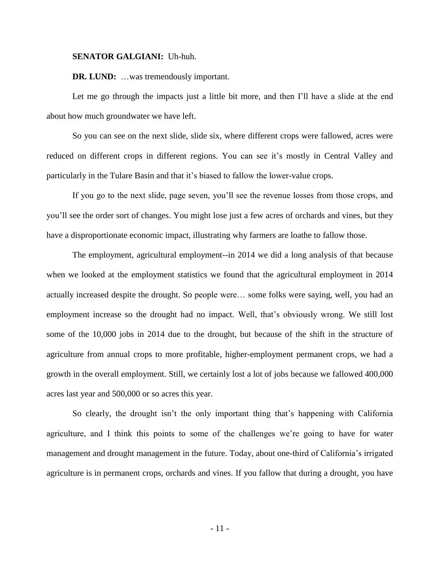#### **SENATOR GALGIANI:** Uh-huh.

#### **DR. LUND:** …was tremendously important.

Let me go through the impacts just a little bit more, and then I'll have a slide at the end about how much groundwater we have left.

So you can see on the next slide, slide six, where different crops were fallowed, acres were reduced on different crops in different regions. You can see it's mostly in Central Valley and particularly in the Tulare Basin and that it's biased to fallow the lower-value crops.

If you go to the next slide, page seven, you'll see the revenue losses from those crops, and you'll see the order sort of changes. You might lose just a few acres of orchards and vines, but they have a disproportionate economic impact, illustrating why farmers are loathe to fallow those.

The employment, agricultural employment--in 2014 we did a long analysis of that because when we looked at the employment statistics we found that the agricultural employment in 2014 actually increased despite the drought. So people were… some folks were saying, well, you had an employment increase so the drought had no impact. Well, that's obviously wrong. We still lost some of the 10,000 jobs in 2014 due to the drought, but because of the shift in the structure of agriculture from annual crops to more profitable, higher-employment permanent crops, we had a growth in the overall employment. Still, we certainly lost a lot of jobs because we fallowed 400,000 acres last year and 500,000 or so acres this year.

So clearly, the drought isn't the only important thing that's happening with California agriculture, and I think this points to some of the challenges we're going to have for water management and drought management in the future. Today, about one-third of California's irrigated agriculture is in permanent crops, orchards and vines. If you fallow that during a drought, you have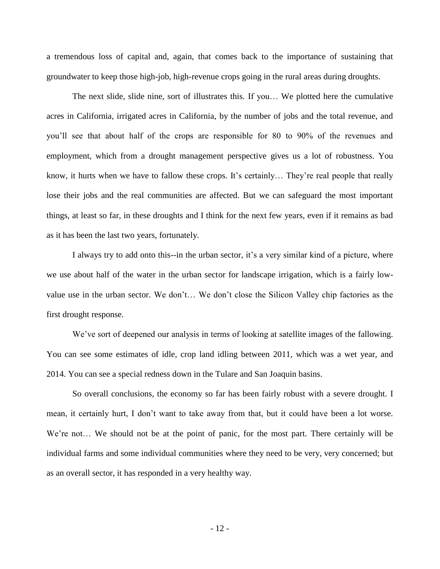a tremendous loss of capital and, again, that comes back to the importance of sustaining that groundwater to keep those high-job, high-revenue crops going in the rural areas during droughts.

The next slide, slide nine, sort of illustrates this. If you… We plotted here the cumulative acres in California, irrigated acres in California, by the number of jobs and the total revenue, and you'll see that about half of the crops are responsible for 80 to 90% of the revenues and employment, which from a drought management perspective gives us a lot of robustness. You know, it hurts when we have to fallow these crops. It's certainly… They're real people that really lose their jobs and the real communities are affected. But we can safeguard the most important things, at least so far, in these droughts and I think for the next few years, even if it remains as bad as it has been the last two years, fortunately.

I always try to add onto this--in the urban sector, it's a very similar kind of a picture, where we use about half of the water in the urban sector for landscape irrigation, which is a fairly lowvalue use in the urban sector. We don't… We don't close the Silicon Valley chip factories as the first drought response.

We've sort of deepened our analysis in terms of looking at satellite images of the fallowing. You can see some estimates of idle, crop land idling between 2011, which was a wet year, and 2014. You can see a special redness down in the Tulare and San Joaquin basins.

So overall conclusions, the economy so far has been fairly robust with a severe drought. I mean, it certainly hurt, I don't want to take away from that, but it could have been a lot worse. We're not… We should not be at the point of panic, for the most part. There certainly will be individual farms and some individual communities where they need to be very, very concerned; but as an overall sector, it has responded in a very healthy way.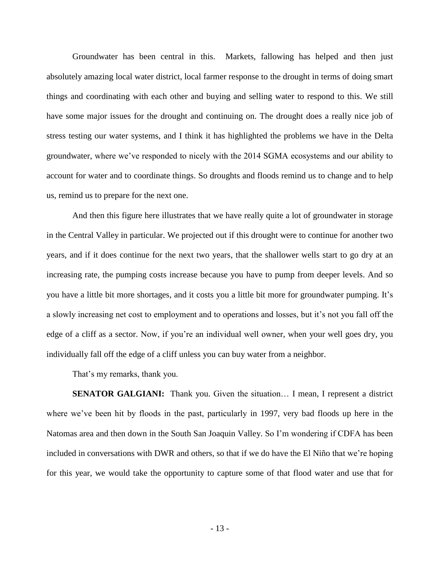Groundwater has been central in this. Markets, fallowing has helped and then just absolutely amazing local water district, local farmer response to the drought in terms of doing smart things and coordinating with each other and buying and selling water to respond to this. We still have some major issues for the drought and continuing on. The drought does a really nice job of stress testing our water systems, and I think it has highlighted the problems we have in the Delta groundwater, where we've responded to nicely with the 2014 SGMA ecosystems and our ability to account for water and to coordinate things. So droughts and floods remind us to change and to help us, remind us to prepare for the next one.

And then this figure here illustrates that we have really quite a lot of groundwater in storage in the Central Valley in particular. We projected out if this drought were to continue for another two years, and if it does continue for the next two years, that the shallower wells start to go dry at an increasing rate, the pumping costs increase because you have to pump from deeper levels. And so you have a little bit more shortages, and it costs you a little bit more for groundwater pumping. It's a slowly increasing net cost to employment and to operations and losses, but it's not you fall off the edge of a cliff as a sector. Now, if you're an individual well owner, when your well goes dry, you individually fall off the edge of a cliff unless you can buy water from a neighbor.

That's my remarks, thank you.

**SENATOR GALGIANI:** Thank you. Given the situation… I mean, I represent a district where we've been hit by floods in the past, particularly in 1997, very bad floods up here in the Natomas area and then down in the South San Joaquin Valley. So I'm wondering if CDFA has been included in conversations with DWR and others, so that if we do have the El Niño that we're hoping for this year, we would take the opportunity to capture some of that flood water and use that for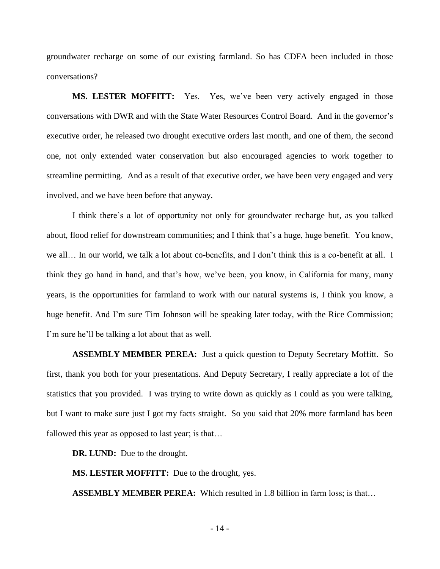groundwater recharge on some of our existing farmland. So has CDFA been included in those conversations?

**MS. LESTER MOFFITT:** Yes. Yes, we've been very actively engaged in those conversations with DWR and with the State Water Resources Control Board. And in the governor's executive order, he released two drought executive orders last month, and one of them, the second one, not only extended water conservation but also encouraged agencies to work together to streamline permitting. And as a result of that executive order, we have been very engaged and very involved, and we have been before that anyway.

I think there's a lot of opportunity not only for groundwater recharge but, as you talked about, flood relief for downstream communities; and I think that's a huge, huge benefit. You know, we all… In our world, we talk a lot about co-benefits, and I don't think this is a co-benefit at all. I think they go hand in hand, and that's how, we've been, you know, in California for many, many years, is the opportunities for farmland to work with our natural systems is, I think you know, a huge benefit. And I'm sure Tim Johnson will be speaking later today, with the Rice Commission; I'm sure he'll be talking a lot about that as well.

**ASSEMBLY MEMBER PEREA:** Just a quick question to Deputy Secretary Moffitt. So first, thank you both for your presentations. And Deputy Secretary, I really appreciate a lot of the statistics that you provided. I was trying to write down as quickly as I could as you were talking, but I want to make sure just I got my facts straight. So you said that 20% more farmland has been fallowed this year as opposed to last year; is that…

**DR. LUND:** Due to the drought.

**MS. LESTER MOFFITT:** Due to the drought, yes.

**ASSEMBLY MEMBER PEREA:** Which resulted in 1.8 billion in farm loss; is that…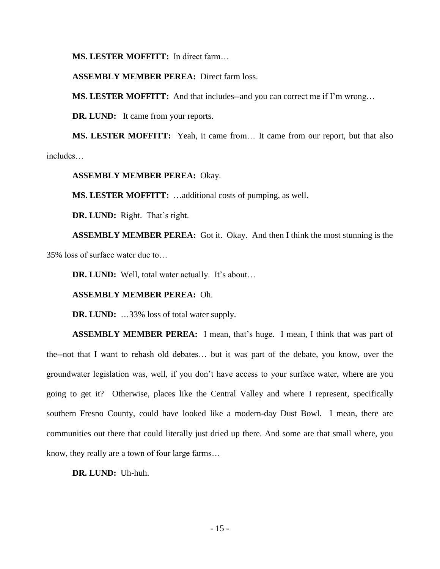**MS. LESTER MOFFITT:** In direct farm…

# **ASSEMBLY MEMBER PEREA:** Direct farm loss.

**MS. LESTER MOFFITT:** And that includes--and you can correct me if I'm wrong…

**DR. LUND:** It came from your reports.

**MS. LESTER MOFFITT:** Yeah, it came from… It came from our report, but that also includes…

**ASSEMBLY MEMBER PEREA:** Okay.

**MS. LESTER MOFFITT:** …additional costs of pumping, as well.

**DR. LUND:** Right. That's right.

**ASSEMBLY MEMBER PEREA:** Got it. Okay. And then I think the most stunning is the 35% loss of surface water due to…

**DR. LUND:** Well, total water actually. It's about…

# **ASSEMBLY MEMBER PEREA:** Oh.

**DR. LUND:** …33% loss of total water supply.

**ASSEMBLY MEMBER PEREA:** I mean, that's huge. I mean, I think that was part of the--not that I want to rehash old debates… but it was part of the debate, you know, over the groundwater legislation was, well, if you don't have access to your surface water, where are you going to get it? Otherwise, places like the Central Valley and where I represent, specifically southern Fresno County, could have looked like a modern-day Dust Bowl. I mean, there are communities out there that could literally just dried up there. And some are that small where, you know, they really are a town of four large farms…

**DR. LUND:** Uh-huh.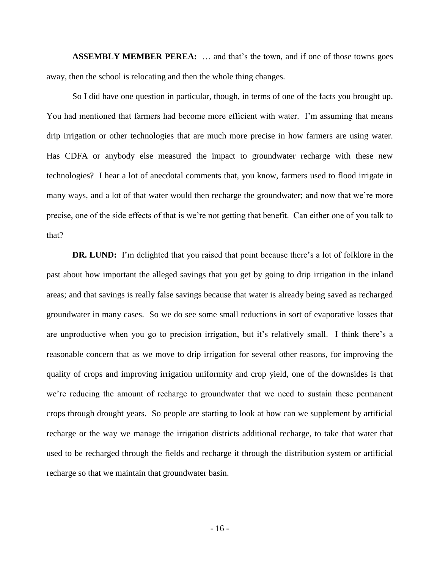**ASSEMBLY MEMBER PEREA:** … and that's the town, and if one of those towns goes away, then the school is relocating and then the whole thing changes.

So I did have one question in particular, though, in terms of one of the facts you brought up. You had mentioned that farmers had become more efficient with water. I'm assuming that means drip irrigation or other technologies that are much more precise in how farmers are using water. Has CDFA or anybody else measured the impact to groundwater recharge with these new technologies? I hear a lot of anecdotal comments that, you know, farmers used to flood irrigate in many ways, and a lot of that water would then recharge the groundwater; and now that we're more precise, one of the side effects of that is we're not getting that benefit. Can either one of you talk to that?

**DR. LUND:** I'm delighted that you raised that point because there's a lot of folklore in the past about how important the alleged savings that you get by going to drip irrigation in the inland areas; and that savings is really false savings because that water is already being saved as recharged groundwater in many cases. So we do see some small reductions in sort of evaporative losses that are unproductive when you go to precision irrigation, but it's relatively small. I think there's a reasonable concern that as we move to drip irrigation for several other reasons, for improving the quality of crops and improving irrigation uniformity and crop yield, one of the downsides is that we're reducing the amount of recharge to groundwater that we need to sustain these permanent crops through drought years. So people are starting to look at how can we supplement by artificial recharge or the way we manage the irrigation districts additional recharge, to take that water that used to be recharged through the fields and recharge it through the distribution system or artificial recharge so that we maintain that groundwater basin.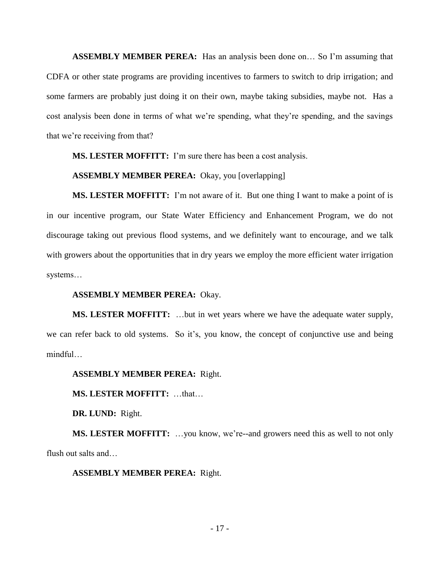**ASSEMBLY MEMBER PEREA:** Has an analysis been done on… So I'm assuming that CDFA or other state programs are providing incentives to farmers to switch to drip irrigation; and some farmers are probably just doing it on their own, maybe taking subsidies, maybe not. Has a cost analysis been done in terms of what we're spending, what they're spending, and the savings that we're receiving from that?

**MS. LESTER MOFFITT:** I'm sure there has been a cost analysis.

#### **ASSEMBLY MEMBER PEREA:** Okay, you [overlapping]

**MS. LESTER MOFFITT:** I'm not aware of it. But one thing I want to make a point of is in our incentive program, our State Water Efficiency and Enhancement Program, we do not discourage taking out previous flood systems, and we definitely want to encourage, and we talk with growers about the opportunities that in dry years we employ the more efficient water irrigation systems…

# **ASSEMBLY MEMBER PEREA:** Okay.

**MS. LESTER MOFFITT:** …but in wet years where we have the adequate water supply, we can refer back to old systems. So it's, you know, the concept of conjunctive use and being mindful…

#### **ASSEMBLY MEMBER PEREA:** Right.

**MS. LESTER MOFFITT:** …that…

**DR. LUND:** Right.

**MS. LESTER MOFFITT:** …you know, we're--and growers need this as well to not only flush out salts and…

#### **ASSEMBLY MEMBER PEREA:** Right.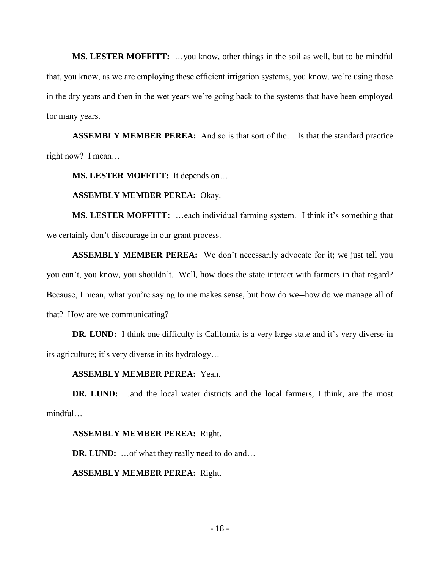**MS. LESTER MOFFITT:** …you know, other things in the soil as well, but to be mindful that, you know, as we are employing these efficient irrigation systems, you know, we're using those in the dry years and then in the wet years we're going back to the systems that have been employed for many years.

**ASSEMBLY MEMBER PEREA:** And so is that sort of the… Is that the standard practice right now? I mean…

**MS. LESTER MOFFITT:** It depends on…

# **ASSEMBLY MEMBER PEREA:** Okay.

**MS. LESTER MOFFITT:** …each individual farming system. I think it's something that we certainly don't discourage in our grant process.

**ASSEMBLY MEMBER PEREA:** We don't necessarily advocate for it; we just tell you you can't, you know, you shouldn't. Well, how does the state interact with farmers in that regard? Because, I mean, what you're saying to me makes sense, but how do we--how do we manage all of that? How are we communicating?

**DR.** LUND: I think one difficulty is California is a very large state and it's very diverse in its agriculture; it's very diverse in its hydrology…

# **ASSEMBLY MEMBER PEREA:** Yeah.

**DR. LUND:** …and the local water districts and the local farmers, I think, are the most mindful…

# **ASSEMBLY MEMBER PEREA:** Right.

**DR.** LUND: ... of what they really need to do and...

# **ASSEMBLY MEMBER PEREA:** Right.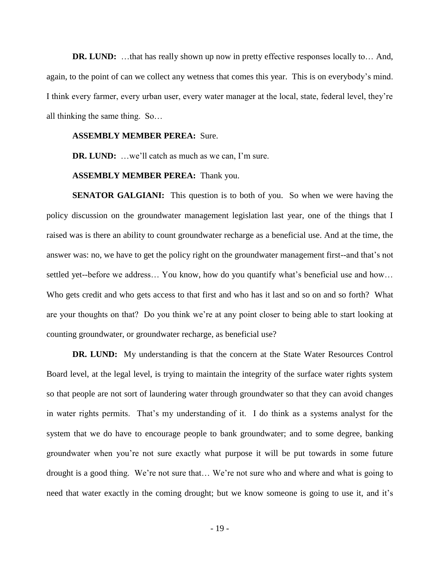**DR.** LUND: ...that has really shown up now in pretty effective responses locally to... And, again, to the point of can we collect any wetness that comes this year. This is on everybody's mind. I think every farmer, every urban user, every water manager at the local, state, federal level, they're all thinking the same thing. So…

#### **ASSEMBLY MEMBER PEREA:** Sure.

**DR. LUND:** …we'll catch as much as we can, I'm sure.

#### **ASSEMBLY MEMBER PEREA:** Thank you.

**SENATOR GALGIANI:** This question is to both of you. So when we were having the policy discussion on the groundwater management legislation last year, one of the things that I raised was is there an ability to count groundwater recharge as a beneficial use. And at the time, the answer was: no, we have to get the policy right on the groundwater management first--and that's not settled yet--before we address… You know, how do you quantify what's beneficial use and how… Who gets credit and who gets access to that first and who has it last and so on and so forth? What are your thoughts on that? Do you think we're at any point closer to being able to start looking at counting groundwater, or groundwater recharge, as beneficial use?

**DR.** LUND: My understanding is that the concern at the State Water Resources Control Board level, at the legal level, is trying to maintain the integrity of the surface water rights system so that people are not sort of laundering water through groundwater so that they can avoid changes in water rights permits. That's my understanding of it. I do think as a systems analyst for the system that we do have to encourage people to bank groundwater; and to some degree, banking groundwater when you're not sure exactly what purpose it will be put towards in some future drought is a good thing. We're not sure that… We're not sure who and where and what is going to need that water exactly in the coming drought; but we know someone is going to use it, and it's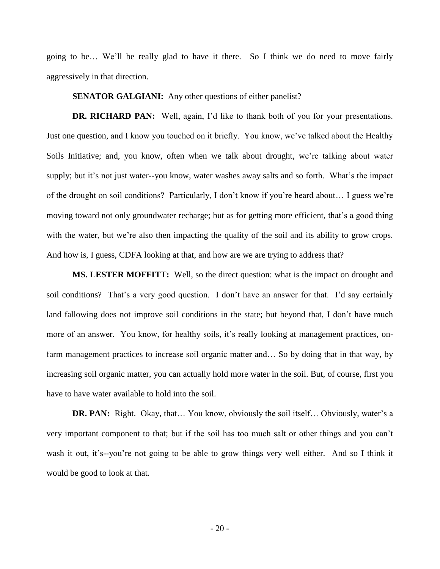going to be… We'll be really glad to have it there. So I think we do need to move fairly aggressively in that direction.

**SENATOR GALGIANI:** Any other questions of either panelist?

**DR. RICHARD PAN:** Well, again, I'd like to thank both of you for your presentations. Just one question, and I know you touched on it briefly. You know, we've talked about the Healthy Soils Initiative; and, you know, often when we talk about drought, we're talking about water supply; but it's not just water--you know, water washes away salts and so forth. What's the impact of the drought on soil conditions? Particularly, I don't know if you're heard about… I guess we're moving toward not only groundwater recharge; but as for getting more efficient, that's a good thing with the water, but we're also then impacting the quality of the soil and its ability to grow crops. And how is, I guess, CDFA looking at that, and how are we are trying to address that?

**MS. LESTER MOFFITT:** Well, so the direct question: what is the impact on drought and soil conditions? That's a very good question. I don't have an answer for that. I'd say certainly land fallowing does not improve soil conditions in the state; but beyond that, I don't have much more of an answer. You know, for healthy soils, it's really looking at management practices, onfarm management practices to increase soil organic matter and… So by doing that in that way, by increasing soil organic matter, you can actually hold more water in the soil. But, of course, first you have to have water available to hold into the soil.

**DR. PAN:** Right. Okay, that... You know, obviously the soil itself... Obviously, water's a very important component to that; but if the soil has too much salt or other things and you can't wash it out, it's--you're not going to be able to grow things very well either. And so I think it would be good to look at that.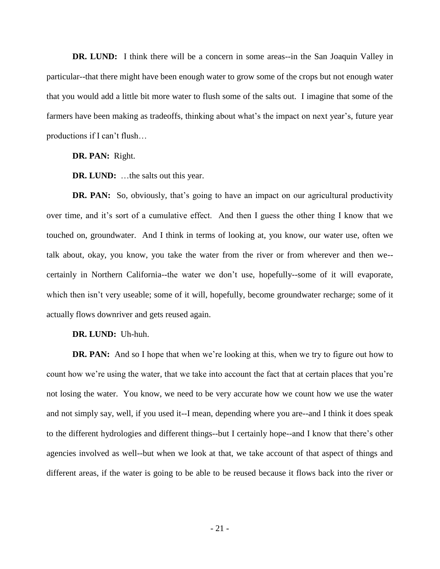**DR. LUND:** I think there will be a concern in some areas--in the San Joaquin Valley in particular--that there might have been enough water to grow some of the crops but not enough water that you would add a little bit more water to flush some of the salts out. I imagine that some of the farmers have been making as tradeoffs, thinking about what's the impact on next year's, future year productions if I can't flush…

**DR. PAN:** Right.

**DR. LUND:** …the salts out this year.

**DR. PAN:** So, obviously, that's going to have an impact on our agricultural productivity over time, and it's sort of a cumulative effect. And then I guess the other thing I know that we touched on, groundwater. And I think in terms of looking at, you know, our water use, often we talk about, okay, you know, you take the water from the river or from wherever and then we- certainly in Northern California--the water we don't use, hopefully--some of it will evaporate, which then isn't very useable; some of it will, hopefully, become groundwater recharge; some of it actually flows downriver and gets reused again.

### **DR. LUND:** Uh-huh.

**DR. PAN:** And so I hope that when we're looking at this, when we try to figure out how to count how we're using the water, that we take into account the fact that at certain places that you're not losing the water. You know, we need to be very accurate how we count how we use the water and not simply say, well, if you used it--I mean, depending where you are--and I think it does speak to the different hydrologies and different things--but I certainly hope--and I know that there's other agencies involved as well--but when we look at that, we take account of that aspect of things and different areas, if the water is going to be able to be reused because it flows back into the river or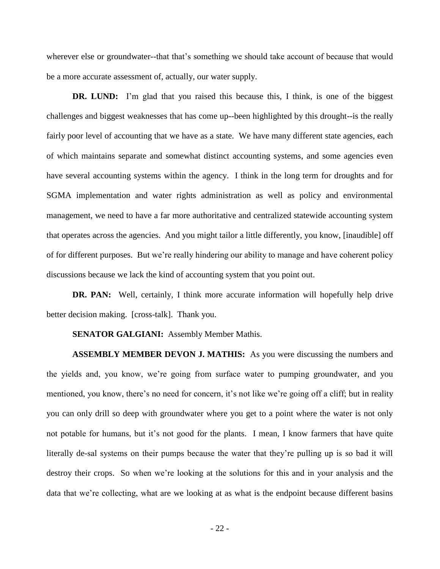wherever else or groundwater--that that's something we should take account of because that would be a more accurate assessment of, actually, our water supply.

**DR.** LUND: I'm glad that you raised this because this, I think, is one of the biggest challenges and biggest weaknesses that has come up--been highlighted by this drought--is the really fairly poor level of accounting that we have as a state. We have many different state agencies, each of which maintains separate and somewhat distinct accounting systems, and some agencies even have several accounting systems within the agency. I think in the long term for droughts and for SGMA implementation and water rights administration as well as policy and environmental management, we need to have a far more authoritative and centralized statewide accounting system that operates across the agencies. And you might tailor a little differently, you know, [inaudible] off of for different purposes. But we're really hindering our ability to manage and have coherent policy discussions because we lack the kind of accounting system that you point out.

**DR. PAN:** Well, certainly, I think more accurate information will hopefully help drive better decision making. [cross-talk]. Thank you.

#### **SENATOR GALGIANI:** Assembly Member Mathis.

**ASSEMBLY MEMBER DEVON J. MATHIS:** As you were discussing the numbers and the yields and, you know, we're going from surface water to pumping groundwater, and you mentioned, you know, there's no need for concern, it's not like we're going off a cliff; but in reality you can only drill so deep with groundwater where you get to a point where the water is not only not potable for humans, but it's not good for the plants. I mean, I know farmers that have quite literally de-sal systems on their pumps because the water that they're pulling up is so bad it will destroy their crops. So when we're looking at the solutions for this and in your analysis and the data that we're collecting, what are we looking at as what is the endpoint because different basins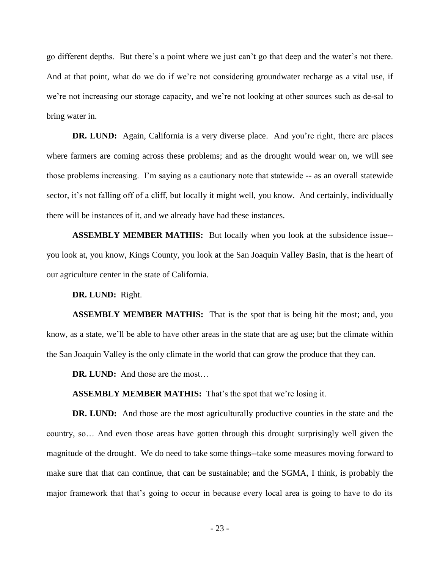go different depths. But there's a point where we just can't go that deep and the water's not there. And at that point, what do we do if we're not considering groundwater recharge as a vital use, if we're not increasing our storage capacity, and we're not looking at other sources such as de-sal to bring water in.

**DR.** LUND: Again, California is a very diverse place. And you're right, there are places where farmers are coming across these problems; and as the drought would wear on, we will see those problems increasing. I'm saying as a cautionary note that statewide -- as an overall statewide sector, it's not falling off of a cliff, but locally it might well, you know. And certainly, individually there will be instances of it, and we already have had these instances.

**ASSEMBLY MEMBER MATHIS:** But locally when you look at the subsidence issue- you look at, you know, Kings County, you look at the San Joaquin Valley Basin, that is the heart of our agriculture center in the state of California.

**DR. LUND:** Right.

**ASSEMBLY MEMBER MATHIS:** That is the spot that is being hit the most; and, you know, as a state, we'll be able to have other areas in the state that are ag use; but the climate within the San Joaquin Valley is the only climate in the world that can grow the produce that they can.

**DR. LUND:** And those are the most…

**ASSEMBLY MEMBER MATHIS:** That's the spot that we're losing it.

**DR.** LUND: And those are the most agriculturally productive counties in the state and the country, so… And even those areas have gotten through this drought surprisingly well given the magnitude of the drought. We do need to take some things--take some measures moving forward to make sure that that can continue, that can be sustainable; and the SGMA, I think, is probably the major framework that that's going to occur in because every local area is going to have to do its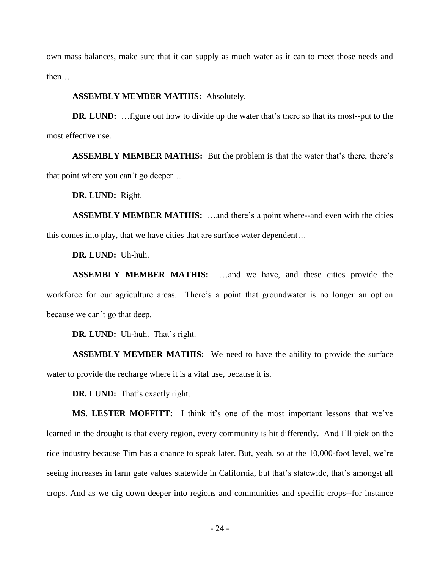own mass balances, make sure that it can supply as much water as it can to meet those needs and then…

#### **ASSEMBLY MEMBER MATHIS:** Absolutely.

**DR.** LUND: ... figure out how to divide up the water that's there so that its most--put to the most effective use.

**ASSEMBLY MEMBER MATHIS:** But the problem is that the water that's there, there's that point where you can't go deeper…

**DR. LUND:** Right.

**ASSEMBLY MEMBER MATHIS:** …and there's a point where--and even with the cities this comes into play, that we have cities that are surface water dependent…

**DR. LUND:** Uh-huh.

**ASSEMBLY MEMBER MATHIS:** …and we have, and these cities provide the workforce for our agriculture areas. There's a point that groundwater is no longer an option because we can't go that deep.

**DR. LUND:** Uh-huh. That's right.

**ASSEMBLY MEMBER MATHIS:** We need to have the ability to provide the surface water to provide the recharge where it is a vital use, because it is.

**DR. LUND:** That's exactly right.

**MS. LESTER MOFFITT:** I think it's one of the most important lessons that we've learned in the drought is that every region, every community is hit differently. And I'll pick on the rice industry because Tim has a chance to speak later. But, yeah, so at the 10,000-foot level, we're seeing increases in farm gate values statewide in California, but that's statewide, that's amongst all crops. And as we dig down deeper into regions and communities and specific crops--for instance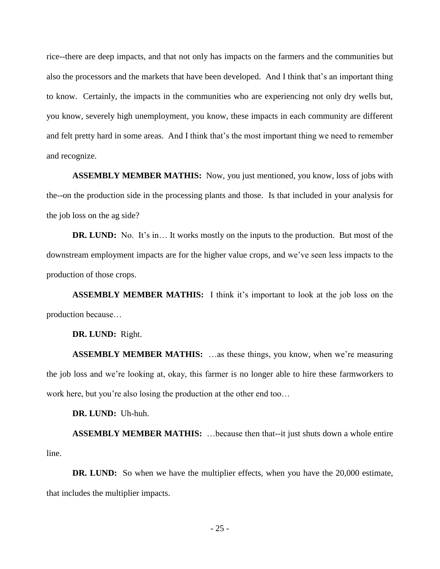rice--there are deep impacts, and that not only has impacts on the farmers and the communities but also the processors and the markets that have been developed. And I think that's an important thing to know. Certainly, the impacts in the communities who are experiencing not only dry wells but, you know, severely high unemployment, you know, these impacts in each community are different and felt pretty hard in some areas. And I think that's the most important thing we need to remember and recognize.

**ASSEMBLY MEMBER MATHIS:** Now, you just mentioned, you know, loss of jobs with the--on the production side in the processing plants and those. Is that included in your analysis for the job loss on the ag side?

**DR.** LUND: No. It's in... It works mostly on the inputs to the production. But most of the downstream employment impacts are for the higher value crops, and we've seen less impacts to the production of those crops.

**ASSEMBLY MEMBER MATHIS:** I think it's important to look at the job loss on the production because…

**DR. LUND:** Right.

**ASSEMBLY MEMBER MATHIS:** …as these things, you know, when we're measuring the job loss and we're looking at, okay, this farmer is no longer able to hire these farmworkers to work here, but you're also losing the production at the other end too…

**DR. LUND:** Uh-huh.

**ASSEMBLY MEMBER MATHIS:** …because then that--it just shuts down a whole entire line.

**DR.** LUND: So when we have the multiplier effects, when you have the 20,000 estimate, that includes the multiplier impacts.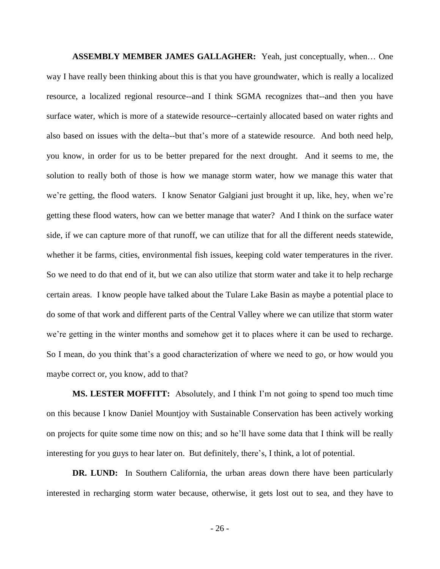**ASSEMBLY MEMBER JAMES GALLAGHER:** Yeah, just conceptually, when… One way I have really been thinking about this is that you have groundwater, which is really a localized resource, a localized regional resource--and I think SGMA recognizes that--and then you have surface water, which is more of a statewide resource--certainly allocated based on water rights and also based on issues with the delta--but that's more of a statewide resource. And both need help, you know, in order for us to be better prepared for the next drought. And it seems to me, the solution to really both of those is how we manage storm water, how we manage this water that we're getting, the flood waters. I know Senator Galgiani just brought it up, like, hey, when we're getting these flood waters, how can we better manage that water? And I think on the surface water side, if we can capture more of that runoff, we can utilize that for all the different needs statewide, whether it be farms, cities, environmental fish issues, keeping cold water temperatures in the river. So we need to do that end of it, but we can also utilize that storm water and take it to help recharge certain areas. I know people have talked about the Tulare Lake Basin as maybe a potential place to do some of that work and different parts of the Central Valley where we can utilize that storm water we're getting in the winter months and somehow get it to places where it can be used to recharge. So I mean, do you think that's a good characterization of where we need to go, or how would you maybe correct or, you know, add to that?

**MS. LESTER MOFFITT:** Absolutely, and I think I'm not going to spend too much time on this because I know Daniel Mountjoy with Sustainable Conservation has been actively working on projects for quite some time now on this; and so he'll have some data that I think will be really interesting for you guys to hear later on. But definitely, there's, I think, a lot of potential.

**DR. LUND:** In Southern California, the urban areas down there have been particularly interested in recharging storm water because, otherwise, it gets lost out to sea, and they have to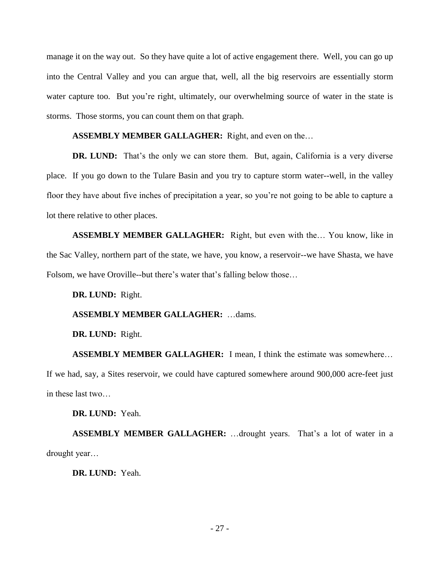manage it on the way out. So they have quite a lot of active engagement there. Well, you can go up into the Central Valley and you can argue that, well, all the big reservoirs are essentially storm water capture too. But you're right, ultimately, our overwhelming source of water in the state is storms. Those storms, you can count them on that graph.

# **ASSEMBLY MEMBER GALLAGHER:** Right, and even on the…

**DR.** LUND: That's the only we can store them. But, again, California is a very diverse place. If you go down to the Tulare Basin and you try to capture storm water--well, in the valley floor they have about five inches of precipitation a year, so you're not going to be able to capture a lot there relative to other places.

**ASSEMBLY MEMBER GALLAGHER:** Right, but even with the… You know, like in the Sac Valley, northern part of the state, we have, you know, a reservoir--we have Shasta, we have Folsom, we have Oroville--but there's water that's falling below those…

# **DR. LUND:** Right.

# **ASSEMBLY MEMBER GALLAGHER:** …dams.

# **DR. LUND:** Right.

**ASSEMBLY MEMBER GALLAGHER:** I mean, I think the estimate was somewhere… If we had, say, a Sites reservoir, we could have captured somewhere around 900,000 acre-feet just in these last two…

# **DR. LUND:** Yeah.

**ASSEMBLY MEMBER GALLAGHER:** …drought years. That's a lot of water in a drought year…

**DR. LUND:** Yeah.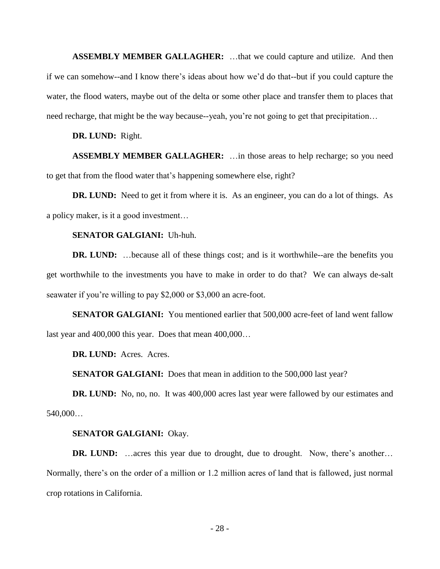**ASSEMBLY MEMBER GALLAGHER:** …that we could capture and utilize. And then if we can somehow--and I know there's ideas about how we'd do that--but if you could capture the water, the flood waters, maybe out of the delta or some other place and transfer them to places that need recharge, that might be the way because--yeah, you're not going to get that precipitation…

**DR. LUND:** Right.

**ASSEMBLY MEMBER GALLAGHER:** …in those areas to help recharge; so you need to get that from the flood water that's happening somewhere else, right?

**DR.** LUND: Need to get it from where it is. As an engineer, you can do a lot of things. As a policy maker, is it a good investment…

# **SENATOR GALGIANI:** Uh-huh.

**DR.** LUND: ... because all of these things cost; and is it worthwhile--are the benefits you get worthwhile to the investments you have to make in order to do that? We can always de-salt seawater if you're willing to pay \$2,000 or \$3,000 an acre-foot.

**SENATOR GALGIANI:** You mentioned earlier that 500,000 acre-feet of land went fallow last year and 400,000 this year. Does that mean 400,000…

**DR. LUND:** Acres. Acres.

**SENATOR GALGIANI:** Does that mean in addition to the 500,000 last year?

**DR.** LUND: No, no, no. It was 400,000 acres last year were fallowed by our estimates and 540,000…

#### **SENATOR GALGIANI:** Okay.

**DR.** LUND: …acres this year due to drought, due to drought. Now, there's another… Normally, there's on the order of a million or 1.2 million acres of land that is fallowed, just normal crop rotations in California.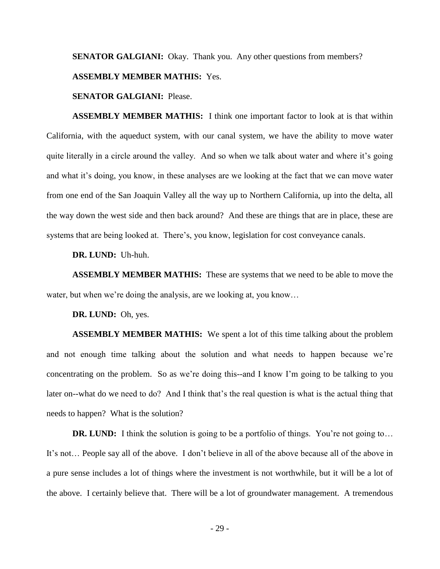**SENATOR GALGIANI:** Okay. Thank you. Any other questions from members?

## **ASSEMBLY MEMBER MATHIS:** Yes.

# **SENATOR GALGIANI:** Please.

**ASSEMBLY MEMBER MATHIS:** I think one important factor to look at is that within California, with the aqueduct system, with our canal system, we have the ability to move water quite literally in a circle around the valley. And so when we talk about water and where it's going and what it's doing, you know, in these analyses are we looking at the fact that we can move water from one end of the San Joaquin Valley all the way up to Northern California, up into the delta, all the way down the west side and then back around? And these are things that are in place, these are systems that are being looked at. There's, you know, legislation for cost conveyance canals.

**DR. LUND:** Uh-huh.

**ASSEMBLY MEMBER MATHIS:** These are systems that we need to be able to move the water, but when we're doing the analysis, are we looking at, you know…

#### **DR. LUND:** Oh, yes.

**ASSEMBLY MEMBER MATHIS:** We spent a lot of this time talking about the problem and not enough time talking about the solution and what needs to happen because we're concentrating on the problem. So as we're doing this--and I know I'm going to be talking to you later on--what do we need to do? And I think that's the real question is what is the actual thing that needs to happen? What is the solution?

**DR.** LUND: I think the solution is going to be a portfolio of things. You're not going to... It's not… People say all of the above. I don't believe in all of the above because all of the above in a pure sense includes a lot of things where the investment is not worthwhile, but it will be a lot of the above. I certainly believe that. There will be a lot of groundwater management. A tremendous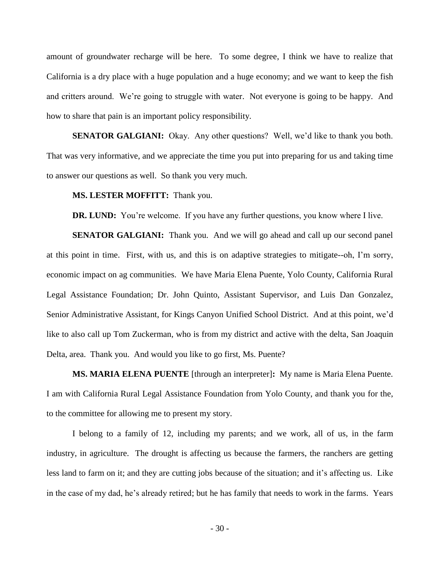amount of groundwater recharge will be here. To some degree, I think we have to realize that California is a dry place with a huge population and a huge economy; and we want to keep the fish and critters around. We're going to struggle with water. Not everyone is going to be happy. And how to share that pain is an important policy responsibility.

**SENATOR GALGIANI:** Okay. Any other questions? Well, we'd like to thank you both. That was very informative, and we appreciate the time you put into preparing for us and taking time to answer our questions as well. So thank you very much.

#### **MS. LESTER MOFFITT:** Thank you.

**DR.** LUND: You're welcome. If you have any further questions, you know where I live.

**SENATOR GALGIANI:** Thank you. And we will go ahead and call up our second panel at this point in time. First, with us, and this is on adaptive strategies to mitigate--oh, I'm sorry, economic impact on ag communities. We have Maria Elena Puente, Yolo County, California Rural Legal Assistance Foundation; Dr. John Quinto, Assistant Supervisor, and Luis Dan Gonzalez, Senior Administrative Assistant, for Kings Canyon Unified School District. And at this point, we'd like to also call up Tom Zuckerman, who is from my district and active with the delta, San Joaquin Delta, area. Thank you. And would you like to go first, Ms. Puente?

**MS. MARIA ELENA PUENTE** [through an interpreter]**:** My name is Maria Elena Puente. I am with California Rural Legal Assistance Foundation from Yolo County, and thank you for the, to the committee for allowing me to present my story.

I belong to a family of 12, including my parents; and we work, all of us, in the farm industry, in agriculture. The drought is affecting us because the farmers, the ranchers are getting less land to farm on it; and they are cutting jobs because of the situation; and it's affecting us. Like in the case of my dad, he's already retired; but he has family that needs to work in the farms. Years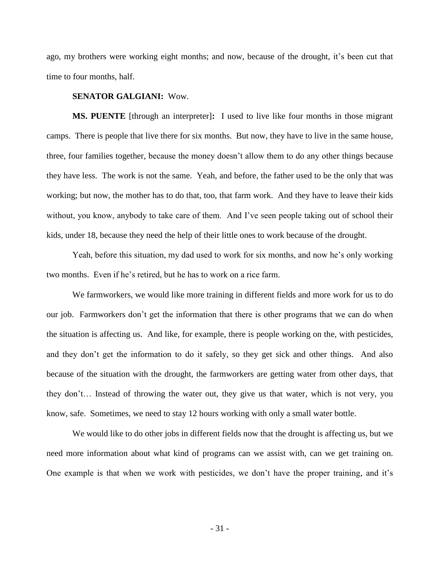ago, my brothers were working eight months; and now, because of the drought, it's been cut that time to four months, half.

# **SENATOR GALGIANI:** Wow.

**MS. PUENTE** [through an interpreter]**:** I used to live like four months in those migrant camps. There is people that live there for six months. But now, they have to live in the same house, three, four families together, because the money doesn't allow them to do any other things because they have less. The work is not the same. Yeah, and before, the father used to be the only that was working; but now, the mother has to do that, too, that farm work. And they have to leave their kids without, you know, anybody to take care of them. And I've seen people taking out of school their kids, under 18, because they need the help of their little ones to work because of the drought.

Yeah, before this situation, my dad used to work for six months, and now he's only working two months. Even if he's retired, but he has to work on a rice farm.

We farmworkers, we would like more training in different fields and more work for us to do our job. Farmworkers don't get the information that there is other programs that we can do when the situation is affecting us. And like, for example, there is people working on the, with pesticides, and they don't get the information to do it safely, so they get sick and other things. And also because of the situation with the drought, the farmworkers are getting water from other days, that they don't… Instead of throwing the water out, they give us that water, which is not very, you know, safe. Sometimes, we need to stay 12 hours working with only a small water bottle.

We would like to do other jobs in different fields now that the drought is affecting us, but we need more information about what kind of programs can we assist with, can we get training on. One example is that when we work with pesticides, we don't have the proper training, and it's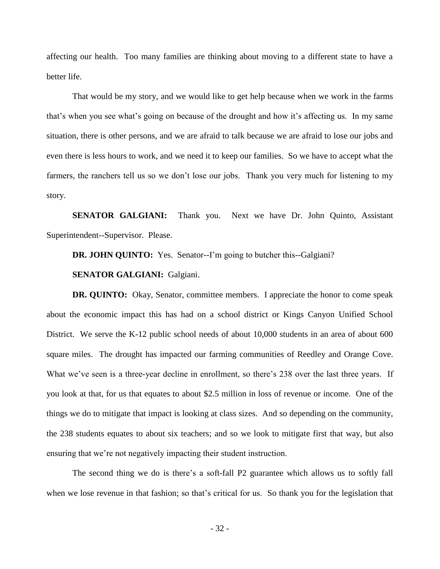affecting our health. Too many families are thinking about moving to a different state to have a better life.

That would be my story, and we would like to get help because when we work in the farms that's when you see what's going on because of the drought and how it's affecting us. In my same situation, there is other persons, and we are afraid to talk because we are afraid to lose our jobs and even there is less hours to work, and we need it to keep our families. So we have to accept what the farmers, the ranchers tell us so we don't lose our jobs. Thank you very much for listening to my story.

**SENATOR GALGIANI:** Thank you. Next we have Dr. John Quinto, Assistant Superintendent--Supervisor. Please.

**DR. JOHN QUINTO:** Yes. Senator--I'm going to butcher this--Galgiani?

# **SENATOR GALGIANI:** Galgiani.

**DR.** QUINTO: Okay, Senator, committee members. I appreciate the honor to come speak about the economic impact this has had on a school district or Kings Canyon Unified School District. We serve the K-12 public school needs of about 10,000 students in an area of about 600 square miles. The drought has impacted our farming communities of Reedley and Orange Cove. What we've seen is a three-year decline in enrollment, so there's 238 over the last three years. If you look at that, for us that equates to about \$2.5 million in loss of revenue or income. One of the things we do to mitigate that impact is looking at class sizes. And so depending on the community, the 238 students equates to about six teachers; and so we look to mitigate first that way, but also ensuring that we're not negatively impacting their student instruction.

The second thing we do is there's a soft-fall P2 guarantee which allows us to softly fall when we lose revenue in that fashion; so that's critical for us. So thank you for the legislation that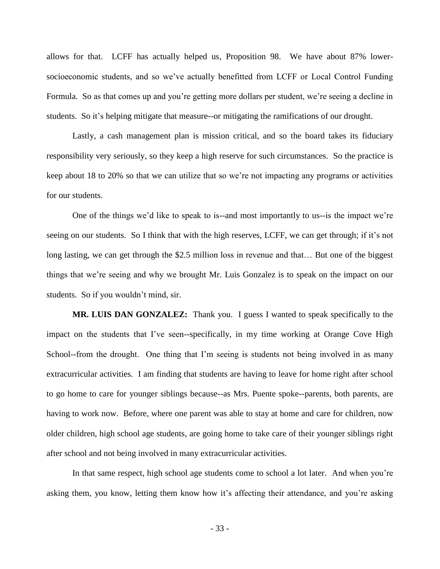allows for that. LCFF has actually helped us, Proposition 98. We have about 87% lowersocioeconomic students, and so we've actually benefitted from LCFF or Local Control Funding Formula. So as that comes up and you're getting more dollars per student, we're seeing a decline in students. So it's helping mitigate that measure--or mitigating the ramifications of our drought.

Lastly, a cash management plan is mission critical, and so the board takes its fiduciary responsibility very seriously, so they keep a high reserve for such circumstances. So the practice is keep about 18 to 20% so that we can utilize that so we're not impacting any programs or activities for our students.

One of the things we'd like to speak to is--and most importantly to us--is the impact we're seeing on our students. So I think that with the high reserves, LCFF, we can get through; if it's not long lasting, we can get through the \$2.5 million loss in revenue and that… But one of the biggest things that we're seeing and why we brought Mr. Luis Gonzalez is to speak on the impact on our students. So if you wouldn't mind, sir.

**MR. LUIS DAN GONZALEZ:** Thank you. I guess I wanted to speak specifically to the impact on the students that I've seen--specifically, in my time working at Orange Cove High School--from the drought. One thing that I'm seeing is students not being involved in as many extracurricular activities. I am finding that students are having to leave for home right after school to go home to care for younger siblings because--as Mrs. Puente spoke--parents, both parents, are having to work now. Before, where one parent was able to stay at home and care for children, now older children, high school age students, are going home to take care of their younger siblings right after school and not being involved in many extracurricular activities.

In that same respect, high school age students come to school a lot later. And when you're asking them, you know, letting them know how it's affecting their attendance, and you're asking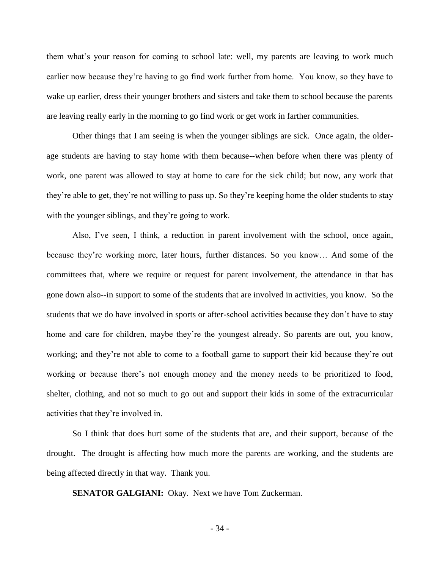them what's your reason for coming to school late: well, my parents are leaving to work much earlier now because they're having to go find work further from home. You know, so they have to wake up earlier, dress their younger brothers and sisters and take them to school because the parents are leaving really early in the morning to go find work or get work in farther communities.

Other things that I am seeing is when the younger siblings are sick. Once again, the olderage students are having to stay home with them because--when before when there was plenty of work, one parent was allowed to stay at home to care for the sick child; but now, any work that they're able to get, they're not willing to pass up. So they're keeping home the older students to stay with the younger siblings, and they're going to work.

Also, I've seen, I think, a reduction in parent involvement with the school, once again, because they're working more, later hours, further distances. So you know… And some of the committees that, where we require or request for parent involvement, the attendance in that has gone down also--in support to some of the students that are involved in activities, you know. So the students that we do have involved in sports or after-school activities because they don't have to stay home and care for children, maybe they're the youngest already. So parents are out, you know, working; and they're not able to come to a football game to support their kid because they're out working or because there's not enough money and the money needs to be prioritized to food, shelter, clothing, and not so much to go out and support their kids in some of the extracurricular activities that they're involved in.

So I think that does hurt some of the students that are, and their support, because of the drought. The drought is affecting how much more the parents are working, and the students are being affected directly in that way. Thank you.

**SENATOR GALGIANI:** Okay. Next we have Tom Zuckerman.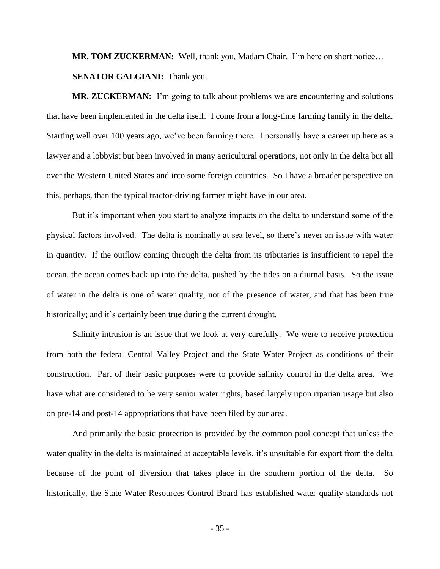**MR. TOM ZUCKERMAN:** Well, thank you, Madam Chair. I'm here on short notice… **SENATOR GALGIANI:** Thank you.

**MR. ZUCKERMAN:** I'm going to talk about problems we are encountering and solutions that have been implemented in the delta itself. I come from a long-time farming family in the delta. Starting well over 100 years ago, we've been farming there. I personally have a career up here as a lawyer and a lobbyist but been involved in many agricultural operations, not only in the delta but all over the Western United States and into some foreign countries. So I have a broader perspective on this, perhaps, than the typical tractor-driving farmer might have in our area.

But it's important when you start to analyze impacts on the delta to understand some of the physical factors involved. The delta is nominally at sea level, so there's never an issue with water in quantity. If the outflow coming through the delta from its tributaries is insufficient to repel the ocean, the ocean comes back up into the delta, pushed by the tides on a diurnal basis. So the issue of water in the delta is one of water quality, not of the presence of water, and that has been true historically; and it's certainly been true during the current drought.

Salinity intrusion is an issue that we look at very carefully. We were to receive protection from both the federal Central Valley Project and the State Water Project as conditions of their construction. Part of their basic purposes were to provide salinity control in the delta area. We have what are considered to be very senior water rights, based largely upon riparian usage but also on pre-14 and post-14 appropriations that have been filed by our area.

And primarily the basic protection is provided by the common pool concept that unless the water quality in the delta is maintained at acceptable levels, it's unsuitable for export from the delta because of the point of diversion that takes place in the southern portion of the delta. So historically, the State Water Resources Control Board has established water quality standards not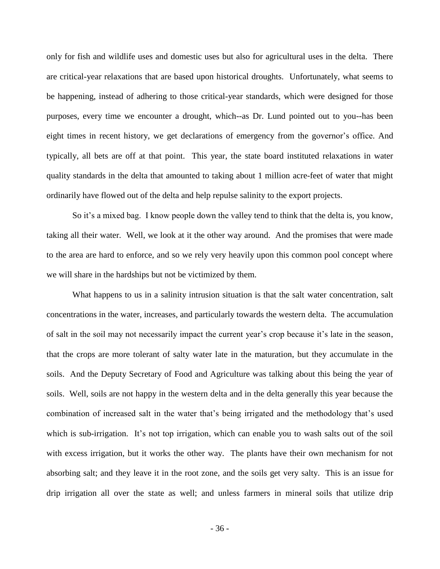only for fish and wildlife uses and domestic uses but also for agricultural uses in the delta. There are critical-year relaxations that are based upon historical droughts. Unfortunately, what seems to be happening, instead of adhering to those critical-year standards, which were designed for those purposes, every time we encounter a drought, which--as Dr. Lund pointed out to you--has been eight times in recent history, we get declarations of emergency from the governor's office. And typically, all bets are off at that point. This year, the state board instituted relaxations in water quality standards in the delta that amounted to taking about 1 million acre-feet of water that might ordinarily have flowed out of the delta and help repulse salinity to the export projects.

So it's a mixed bag. I know people down the valley tend to think that the delta is, you know, taking all their water. Well, we look at it the other way around. And the promises that were made to the area are hard to enforce, and so we rely very heavily upon this common pool concept where we will share in the hardships but not be victimized by them.

What happens to us in a salinity intrusion situation is that the salt water concentration, salt concentrations in the water, increases, and particularly towards the western delta. The accumulation of salt in the soil may not necessarily impact the current year's crop because it's late in the season, that the crops are more tolerant of salty water late in the maturation, but they accumulate in the soils. And the Deputy Secretary of Food and Agriculture was talking about this being the year of soils. Well, soils are not happy in the western delta and in the delta generally this year because the combination of increased salt in the water that's being irrigated and the methodology that's used which is sub-irrigation. It's not top irrigation, which can enable you to wash salts out of the soil with excess irrigation, but it works the other way. The plants have their own mechanism for not absorbing salt; and they leave it in the root zone, and the soils get very salty. This is an issue for drip irrigation all over the state as well; and unless farmers in mineral soils that utilize drip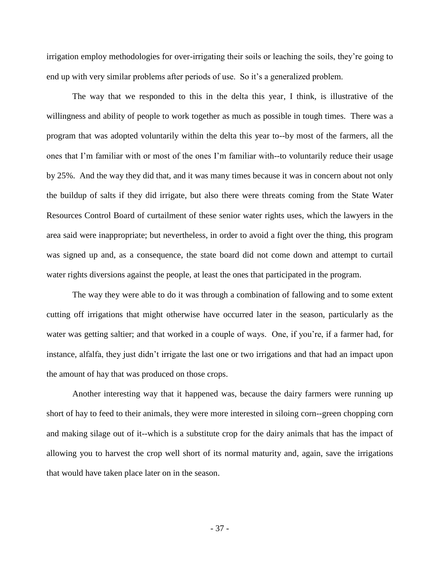irrigation employ methodologies for over-irrigating their soils or leaching the soils, they're going to end up with very similar problems after periods of use. So it's a generalized problem.

The way that we responded to this in the delta this year, I think, is illustrative of the willingness and ability of people to work together as much as possible in tough times. There was a program that was adopted voluntarily within the delta this year to--by most of the farmers, all the ones that I'm familiar with or most of the ones I'm familiar with--to voluntarily reduce their usage by 25%. And the way they did that, and it was many times because it was in concern about not only the buildup of salts if they did irrigate, but also there were threats coming from the State Water Resources Control Board of curtailment of these senior water rights uses, which the lawyers in the area said were inappropriate; but nevertheless, in order to avoid a fight over the thing, this program was signed up and, as a consequence, the state board did not come down and attempt to curtail water rights diversions against the people, at least the ones that participated in the program.

The way they were able to do it was through a combination of fallowing and to some extent cutting off irrigations that might otherwise have occurred later in the season, particularly as the water was getting saltier; and that worked in a couple of ways. One, if you're, if a farmer had, for instance, alfalfa, they just didn't irrigate the last one or two irrigations and that had an impact upon the amount of hay that was produced on those crops.

Another interesting way that it happened was, because the dairy farmers were running up short of hay to feed to their animals, they were more interested in siloing corn--green chopping corn and making silage out of it--which is a substitute crop for the dairy animals that has the impact of allowing you to harvest the crop well short of its normal maturity and, again, save the irrigations that would have taken place later on in the season.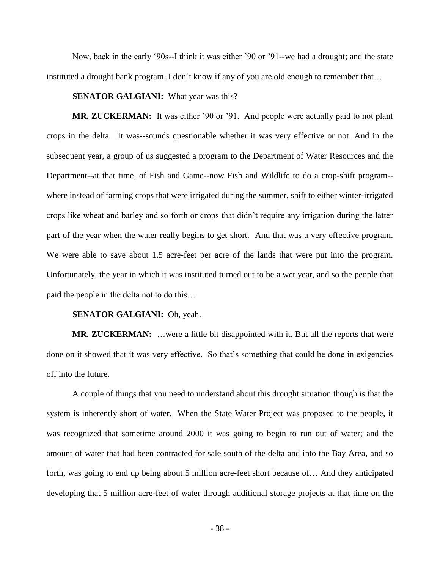Now, back in the early '90s--I think it was either '90 or '91--we had a drought; and the state instituted a drought bank program. I don't know if any of you are old enough to remember that…

## **SENATOR GALGIANI:** What year was this?

**MR. ZUCKERMAN:** It was either '90 or '91. And people were actually paid to not plant crops in the delta. It was--sounds questionable whether it was very effective or not. And in the subsequent year, a group of us suggested a program to the Department of Water Resources and the Department--at that time, of Fish and Game--now Fish and Wildlife to do a crop-shift program- where instead of farming crops that were irrigated during the summer, shift to either winter-irrigated crops like wheat and barley and so forth or crops that didn't require any irrigation during the latter part of the year when the water really begins to get short. And that was a very effective program. We were able to save about 1.5 acre-feet per acre of the lands that were put into the program. Unfortunately, the year in which it was instituted turned out to be a wet year, and so the people that paid the people in the delta not to do this…

#### **SENATOR GALGIANI:** Oh, yeah.

**MR. ZUCKERMAN:** …were a little bit disappointed with it. But all the reports that were done on it showed that it was very effective. So that's something that could be done in exigencies off into the future.

A couple of things that you need to understand about this drought situation though is that the system is inherently short of water. When the State Water Project was proposed to the people, it was recognized that sometime around 2000 it was going to begin to run out of water; and the amount of water that had been contracted for sale south of the delta and into the Bay Area, and so forth, was going to end up being about 5 million acre-feet short because of… And they anticipated developing that 5 million acre-feet of water through additional storage projects at that time on the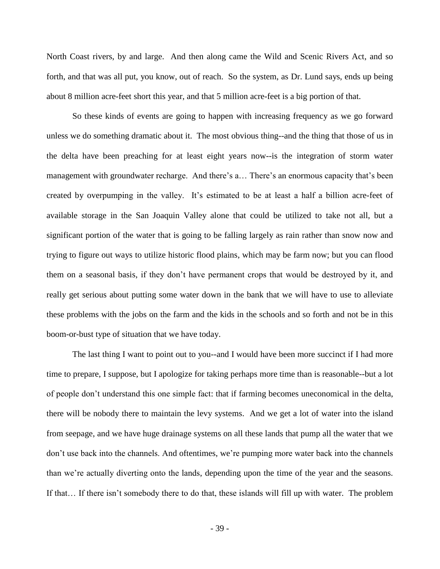North Coast rivers, by and large. And then along came the Wild and Scenic Rivers Act, and so forth, and that was all put, you know, out of reach. So the system, as Dr. Lund says, ends up being about 8 million acre-feet short this year, and that 5 million acre-feet is a big portion of that.

So these kinds of events are going to happen with increasing frequency as we go forward unless we do something dramatic about it. The most obvious thing--and the thing that those of us in the delta have been preaching for at least eight years now--is the integration of storm water management with groundwater recharge. And there's a… There's an enormous capacity that's been created by overpumping in the valley. It's estimated to be at least a half a billion acre-feet of available storage in the San Joaquin Valley alone that could be utilized to take not all, but a significant portion of the water that is going to be falling largely as rain rather than snow now and trying to figure out ways to utilize historic flood plains, which may be farm now; but you can flood them on a seasonal basis, if they don't have permanent crops that would be destroyed by it, and really get serious about putting some water down in the bank that we will have to use to alleviate these problems with the jobs on the farm and the kids in the schools and so forth and not be in this boom-or-bust type of situation that we have today.

The last thing I want to point out to you--and I would have been more succinct if I had more time to prepare, I suppose, but I apologize for taking perhaps more time than is reasonable--but a lot of people don't understand this one simple fact: that if farming becomes uneconomical in the delta, there will be nobody there to maintain the levy systems. And we get a lot of water into the island from seepage, and we have huge drainage systems on all these lands that pump all the water that we don't use back into the channels. And oftentimes, we're pumping more water back into the channels than we're actually diverting onto the lands, depending upon the time of the year and the seasons. If that… If there isn't somebody there to do that, these islands will fill up with water. The problem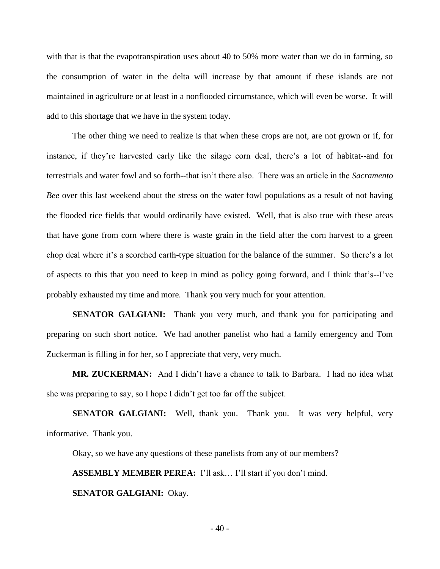with that is that the evapotranspiration uses about 40 to 50% more water than we do in farming, so the consumption of water in the delta will increase by that amount if these islands are not maintained in agriculture or at least in a nonflooded circumstance, which will even be worse. It will add to this shortage that we have in the system today.

The other thing we need to realize is that when these crops are not, are not grown or if, for instance, if they're harvested early like the silage corn deal, there's a lot of habitat--and for terrestrials and water fowl and so forth--that isn't there also. There was an article in the *Sacramento Bee* over this last weekend about the stress on the water fowl populations as a result of not having the flooded rice fields that would ordinarily have existed. Well, that is also true with these areas that have gone from corn where there is waste grain in the field after the corn harvest to a green chop deal where it's a scorched earth-type situation for the balance of the summer. So there's a lot of aspects to this that you need to keep in mind as policy going forward, and I think that's--I've probably exhausted my time and more. Thank you very much for your attention.

**SENATOR GALGIANI:** Thank you very much, and thank you for participating and preparing on such short notice. We had another panelist who had a family emergency and Tom Zuckerman is filling in for her, so I appreciate that very, very much.

**MR. ZUCKERMAN:** And I didn't have a chance to talk to Barbara. I had no idea what she was preparing to say, so I hope I didn't get too far off the subject.

**SENATOR GALGIANI:** Well, thank you. Thank you. It was very helpful, very informative. Thank you.

Okay, so we have any questions of these panelists from any of our members?

**ASSEMBLY MEMBER PEREA:** I'll ask… I'll start if you don't mind.

**SENATOR GALGIANI:** Okay.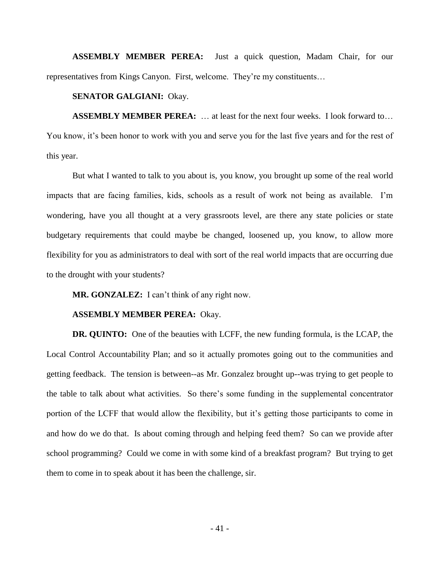**ASSEMBLY MEMBER PEREA:** Just a quick question, Madam Chair, for our representatives from Kings Canyon. First, welcome. They're my constituents…

## **SENATOR GALGIANI:** Okay.

**ASSEMBLY MEMBER PEREA:** … at least for the next four weeks. I look forward to… You know, it's been honor to work with you and serve you for the last five years and for the rest of this year.

But what I wanted to talk to you about is, you know, you brought up some of the real world impacts that are facing families, kids, schools as a result of work not being as available. I'm wondering, have you all thought at a very grassroots level, are there any state policies or state budgetary requirements that could maybe be changed, loosened up, you know, to allow more flexibility for you as administrators to deal with sort of the real world impacts that are occurring due to the drought with your students?

**MR. GONZALEZ:** I can't think of any right now.

## **ASSEMBLY MEMBER PEREA:** Okay.

**DR. QUINTO:** One of the beauties with LCFF, the new funding formula, is the LCAP, the Local Control Accountability Plan; and so it actually promotes going out to the communities and getting feedback. The tension is between--as Mr. Gonzalez brought up--was trying to get people to the table to talk about what activities. So there's some funding in the supplemental concentrator portion of the LCFF that would allow the flexibility, but it's getting those participants to come in and how do we do that. Is about coming through and helping feed them? So can we provide after school programming? Could we come in with some kind of a breakfast program? But trying to get them to come in to speak about it has been the challenge, sir.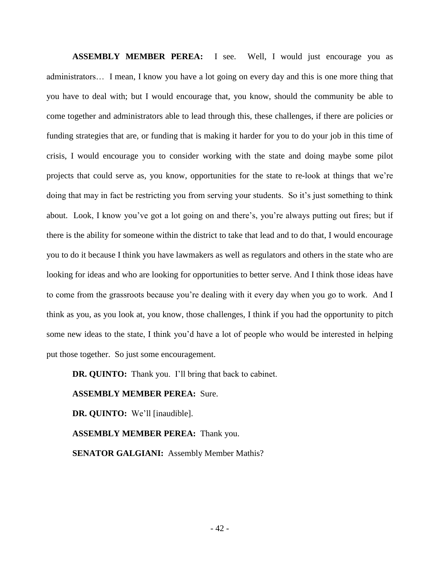**ASSEMBLY MEMBER PEREA:** I see. Well, I would just encourage you as administrators… I mean, I know you have a lot going on every day and this is one more thing that you have to deal with; but I would encourage that, you know, should the community be able to come together and administrators able to lead through this, these challenges, if there are policies or funding strategies that are, or funding that is making it harder for you to do your job in this time of crisis, I would encourage you to consider working with the state and doing maybe some pilot projects that could serve as, you know, opportunities for the state to re-look at things that we're doing that may in fact be restricting you from serving your students. So it's just something to think about. Look, I know you've got a lot going on and there's, you're always putting out fires; but if there is the ability for someone within the district to take that lead and to do that, I would encourage you to do it because I think you have lawmakers as well as regulators and others in the state who are looking for ideas and who are looking for opportunities to better serve. And I think those ideas have to come from the grassroots because you're dealing with it every day when you go to work. And I think as you, as you look at, you know, those challenges, I think if you had the opportunity to pitch some new ideas to the state, I think you'd have a lot of people who would be interested in helping put those together. So just some encouragement.

**DR. QUINTO:** Thank you. I'll bring that back to cabinet.

## **ASSEMBLY MEMBER PEREA:** Sure.

**DR. QUINTO:** We'll [inaudible].

**ASSEMBLY MEMBER PEREA:** Thank you.

**SENATOR GALGIANI:** Assembly Member Mathis?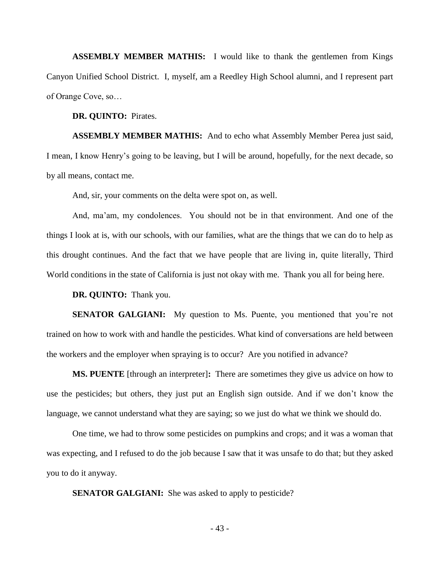**ASSEMBLY MEMBER MATHIS:** I would like to thank the gentlemen from Kings Canyon Unified School District. I, myself, am a Reedley High School alumni, and I represent part of Orange Cove, so…

**DR. QUINTO:** Pirates.

**ASSEMBLY MEMBER MATHIS:** And to echo what Assembly Member Perea just said, I mean, I know Henry's going to be leaving, but I will be around, hopefully, for the next decade, so by all means, contact me.

And, sir, your comments on the delta were spot on, as well.

And, ma'am, my condolences. You should not be in that environment. And one of the things I look at is, with our schools, with our families, what are the things that we can do to help as this drought continues. And the fact that we have people that are living in, quite literally, Third World conditions in the state of California is just not okay with me. Thank you all for being here.

**DR. QUINTO:** Thank you.

**SENATOR GALGIANI:** My question to Ms. Puente, you mentioned that you're not trained on how to work with and handle the pesticides. What kind of conversations are held between the workers and the employer when spraying is to occur? Are you notified in advance?

**MS. PUENTE** [through an interpreter]**:** There are sometimes they give us advice on how to use the pesticides; but others, they just put an English sign outside. And if we don't know the language, we cannot understand what they are saying; so we just do what we think we should do.

One time, we had to throw some pesticides on pumpkins and crops; and it was a woman that was expecting, and I refused to do the job because I saw that it was unsafe to do that; but they asked you to do it anyway.

**SENATOR GALGIANI:** She was asked to apply to pesticide?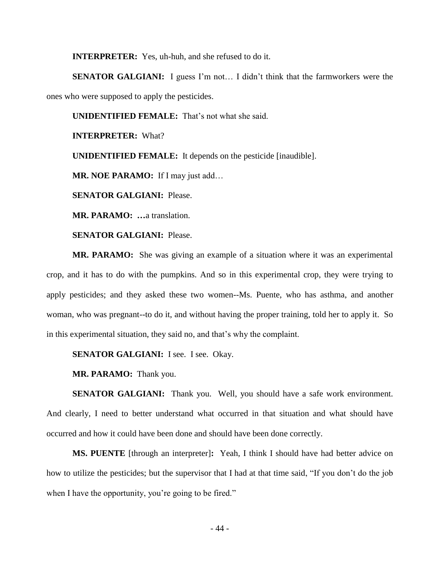**INTERPRETER:** Yes, uh-huh, and she refused to do it.

**SENATOR GALGIANI:** I guess I'm not... I didn't think that the farmworkers were the ones who were supposed to apply the pesticides.

**UNIDENTIFIED FEMALE:** That's not what she said.

**INTERPRETER:** What?

**UNIDENTIFIED FEMALE:** It depends on the pesticide [inaudible].

**MR. NOE PARAMO:** If I may just add…

**SENATOR GALGIANI:** Please.

**MR. PARAMO: …**a translation.

**SENATOR GALGIANI:** Please.

**MR. PARAMO:** She was giving an example of a situation where it was an experimental crop, and it has to do with the pumpkins. And so in this experimental crop, they were trying to apply pesticides; and they asked these two women--Ms. Puente, who has asthma, and another woman, who was pregnant--to do it, and without having the proper training, told her to apply it. So in this experimental situation, they said no, and that's why the complaint.

**SENATOR GALGIANI:** I see. I see. Okay.

**MR. PARAMO:** Thank you.

**SENATOR GALGIANI:** Thank you. Well, you should have a safe work environment. And clearly, I need to better understand what occurred in that situation and what should have occurred and how it could have been done and should have been done correctly.

**MS. PUENTE** [through an interpreter]**:** Yeah, I think I should have had better advice on how to utilize the pesticides; but the supervisor that I had at that time said, "If you don't do the job when I have the opportunity, you're going to be fired."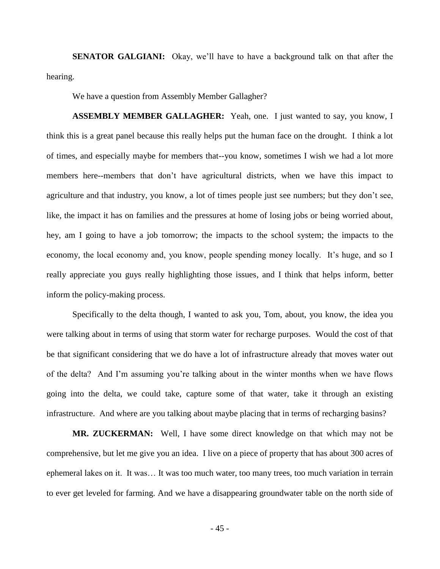**SENATOR GALGIANI:** Okay, we'll have to have a background talk on that after the hearing.

We have a question from Assembly Member Gallagher?

**ASSEMBLY MEMBER GALLAGHER:** Yeah, one. I just wanted to say, you know, I think this is a great panel because this really helps put the human face on the drought. I think a lot of times, and especially maybe for members that--you know, sometimes I wish we had a lot more members here--members that don't have agricultural districts, when we have this impact to agriculture and that industry, you know, a lot of times people just see numbers; but they don't see, like, the impact it has on families and the pressures at home of losing jobs or being worried about, hey, am I going to have a job tomorrow; the impacts to the school system; the impacts to the economy, the local economy and, you know, people spending money locally. It's huge, and so I really appreciate you guys really highlighting those issues, and I think that helps inform, better inform the policy-making process.

Specifically to the delta though, I wanted to ask you, Tom, about, you know, the idea you were talking about in terms of using that storm water for recharge purposes. Would the cost of that be that significant considering that we do have a lot of infrastructure already that moves water out of the delta? And I'm assuming you're talking about in the winter months when we have flows going into the delta, we could take, capture some of that water, take it through an existing infrastructure. And where are you talking about maybe placing that in terms of recharging basins?

**MR. ZUCKERMAN:** Well, I have some direct knowledge on that which may not be comprehensive, but let me give you an idea. I live on a piece of property that has about 300 acres of ephemeral lakes on it. It was… It was too much water, too many trees, too much variation in terrain to ever get leveled for farming. And we have a disappearing groundwater table on the north side of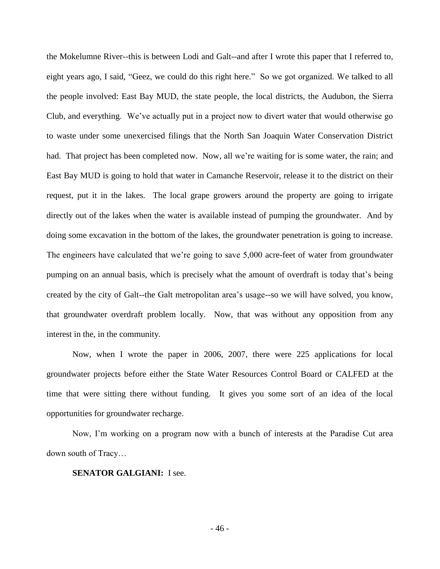the Mokelumne River--this is between Lodi and Galt--and after I wrote this paper that I referred to, eight years ago, I said, "Geez, we could do this right here." So we got organized. We talked to all the people involved: East Bay MUD, the state people, the local districts, the Audubon, the Sierra Club, and everything. We've actually put in a project now to divert water that would otherwise go to waste under some unexercised filings that the North San Joaquin Water Conservation District had. That project has been completed now. Now, all we're waiting for is some water, the rain; and East Bay MUD is going to hold that water in Camanche Reservoir, release it to the district on their request, put it in the lakes. The local grape growers around the property are going to irrigate directly out of the lakes when the water is available instead of pumping the groundwater. And by doing some excavation in the bottom of the lakes, the groundwater penetration is going to increase. The engineers have calculated that we're going to save 5,000 acre-feet of water from groundwater pumping on an annual basis, which is precisely what the amount of overdraft is today that's being created by the city of Galt--the Galt metropolitan area's usage--so we will have solved, you know, that groundwater overdraft problem locally. Now, that was without any opposition from any interest in the, in the community.

Now, when I wrote the paper in 2006, 2007, there were 225 applications for local groundwater projects before either the State Water Resources Control Board or CALFED at the time that were sitting there without funding. It gives you some sort of an idea of the local opportunities for groundwater recharge.

Now, I'm working on a program now with a bunch of interests at the Paradise Cut area down south of Tracy…

**SENATOR GALGIANI:** I see.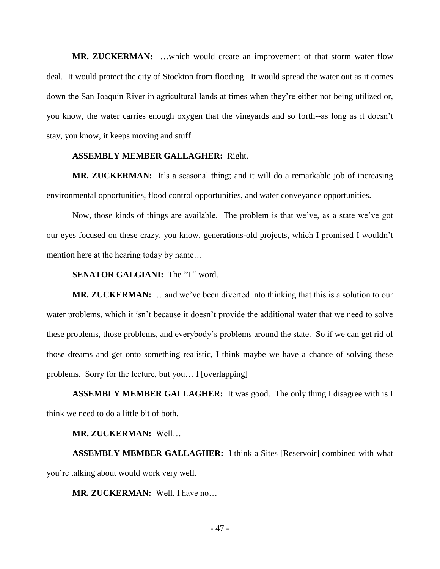**MR. ZUCKERMAN:** …which would create an improvement of that storm water flow deal. It would protect the city of Stockton from flooding. It would spread the water out as it comes down the San Joaquin River in agricultural lands at times when they're either not being utilized or, you know, the water carries enough oxygen that the vineyards and so forth--as long as it doesn't stay, you know, it keeps moving and stuff.

## **ASSEMBLY MEMBER GALLAGHER:** Right.

**MR. ZUCKERMAN:** It's a seasonal thing; and it will do a remarkable job of increasing environmental opportunities, flood control opportunities, and water conveyance opportunities.

Now, those kinds of things are available. The problem is that we've, as a state we've got our eyes focused on these crazy, you know, generations-old projects, which I promised I wouldn't mention here at the hearing today by name…

# **SENATOR GALGIANI:** The "T" word.

**MR. ZUCKERMAN:** …and we've been diverted into thinking that this is a solution to our water problems, which it isn't because it doesn't provide the additional water that we need to solve these problems, those problems, and everybody's problems around the state. So if we can get rid of those dreams and get onto something realistic, I think maybe we have a chance of solving these problems. Sorry for the lecture, but you… I [overlapping]

**ASSEMBLY MEMBER GALLAGHER:** It was good. The only thing I disagree with is I think we need to do a little bit of both.

## **MR. ZUCKERMAN:** Well…

**ASSEMBLY MEMBER GALLAGHER:** I think a Sites [Reservoir] combined with what you're talking about would work very well.

**MR. ZUCKERMAN:** Well, I have no…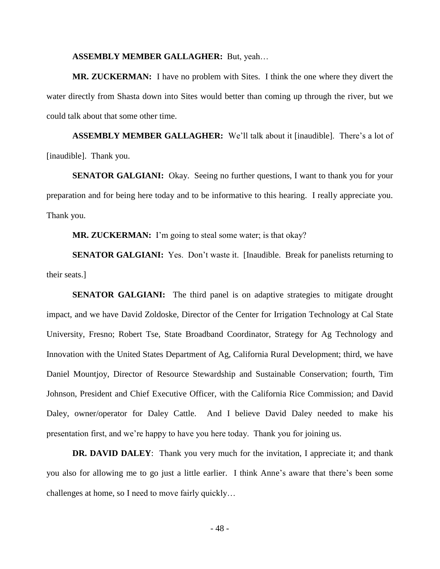#### **ASSEMBLY MEMBER GALLAGHER:** But, yeah…

**MR. ZUCKERMAN:** I have no problem with Sites. I think the one where they divert the water directly from Shasta down into Sites would better than coming up through the river, but we could talk about that some other time.

**ASSEMBLY MEMBER GALLAGHER:** We'll talk about it [inaudible]. There's a lot of [inaudible]. Thank you.

**SENATOR GALGIANI:** Okay. Seeing no further questions, I want to thank you for your preparation and for being here today and to be informative to this hearing. I really appreciate you. Thank you.

**MR. ZUCKERMAN:** I'm going to steal some water; is that okay?

**SENATOR GALGIANI:** Yes. Don't waste it. [Inaudible. Break for panelists returning to their seats.]

**SENATOR GALGIANI:** The third panel is on adaptive strategies to mitigate drought impact, and we have David Zoldoske, Director of the Center for Irrigation Technology at Cal State University, Fresno; Robert Tse, State Broadband Coordinator, Strategy for Ag Technology and Innovation with the United States Department of Ag, California Rural Development; third, we have Daniel Mountjoy, Director of Resource Stewardship and Sustainable Conservation; fourth, Tim Johnson, President and Chief Executive Officer, with the California Rice Commission; and David Daley, owner/operator for Daley Cattle. And I believe David Daley needed to make his presentation first, and we're happy to have you here today. Thank you for joining us.

**DR. DAVID DALEY**: Thank you very much for the invitation, I appreciate it; and thank you also for allowing me to go just a little earlier. I think Anne's aware that there's been some challenges at home, so I need to move fairly quickly…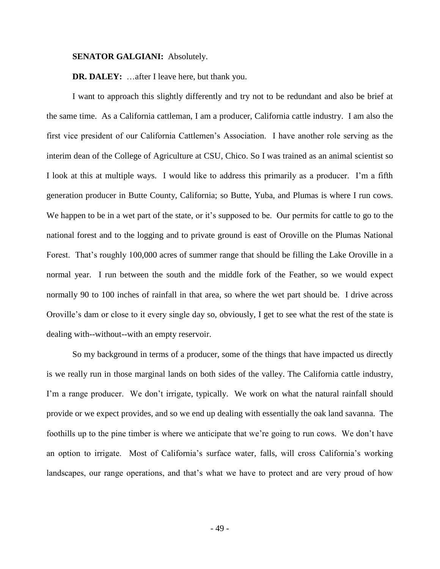#### **SENATOR GALGIANI:** Absolutely.

**DR. DALEY:** …after I leave here, but thank you.

I want to approach this slightly differently and try not to be redundant and also be brief at the same time. As a California cattleman, I am a producer, California cattle industry. I am also the first vice president of our California Cattlemen's Association. I have another role serving as the interim dean of the College of Agriculture at CSU, Chico. So I was trained as an animal scientist so I look at this at multiple ways. I would like to address this primarily as a producer. I'm a fifth generation producer in Butte County, California; so Butte, Yuba, and Plumas is where I run cows. We happen to be in a wet part of the state, or it's supposed to be. Our permits for cattle to go to the national forest and to the logging and to private ground is east of Oroville on the Plumas National Forest. That's roughly 100,000 acres of summer range that should be filling the Lake Oroville in a normal year. I run between the south and the middle fork of the Feather, so we would expect normally 90 to 100 inches of rainfall in that area, so where the wet part should be. I drive across Oroville's dam or close to it every single day so, obviously, I get to see what the rest of the state is dealing with--without--with an empty reservoir.

So my background in terms of a producer, some of the things that have impacted us directly is we really run in those marginal lands on both sides of the valley. The California cattle industry, I'm a range producer. We don't irrigate, typically. We work on what the natural rainfall should provide or we expect provides, and so we end up dealing with essentially the oak land savanna. The foothills up to the pine timber is where we anticipate that we're going to run cows. We don't have an option to irrigate. Most of California's surface water, falls, will cross California's working landscapes, our range operations, and that's what we have to protect and are very proud of how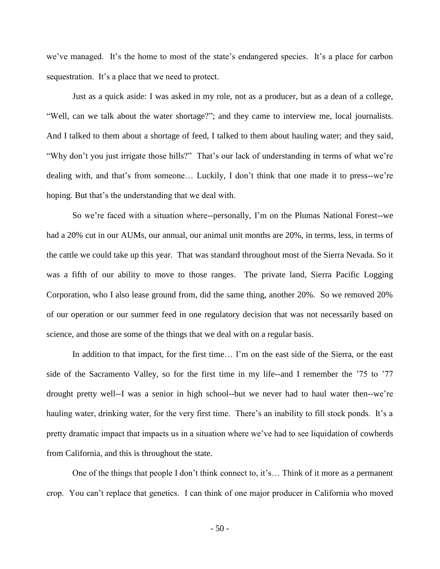we've managed. It's the home to most of the state's endangered species. It's a place for carbon sequestration. It's a place that we need to protect.

Just as a quick aside: I was asked in my role, not as a producer, but as a dean of a college, "Well, can we talk about the water shortage?"; and they came to interview me, local journalists. And I talked to them about a shortage of feed, I talked to them about hauling water; and they said, "Why don't you just irrigate those hills?" That's our lack of understanding in terms of what we're dealing with, and that's from someone… Luckily, I don't think that one made it to press--we're hoping. But that's the understanding that we deal with.

So we're faced with a situation where--personally, I'm on the Plumas National Forest--we had a 20% cut in our AUMs, our annual, our animal unit months are 20%, in terms, less, in terms of the cattle we could take up this year. That was standard throughout most of the Sierra Nevada. So it was a fifth of our ability to move to those ranges. The private land, Sierra Pacific Logging Corporation, who I also lease ground from, did the same thing, another 20%. So we removed 20% of our operation or our summer feed in one regulatory decision that was not necessarily based on science, and those are some of the things that we deal with on a regular basis.

In addition to that impact, for the first time... I'm on the east side of the Sierra, or the east side of the Sacramento Valley, so for the first time in my life--and I remember the '75 to '77 drought pretty well--I was a senior in high school--but we never had to haul water then--we're hauling water, drinking water, for the very first time. There's an inability to fill stock ponds. It's a pretty dramatic impact that impacts us in a situation where we've had to see liquidation of cowherds from California, and this is throughout the state.

One of the things that people I don't think connect to, it's… Think of it more as a permanent crop. You can't replace that genetics. I can think of one major producer in California who moved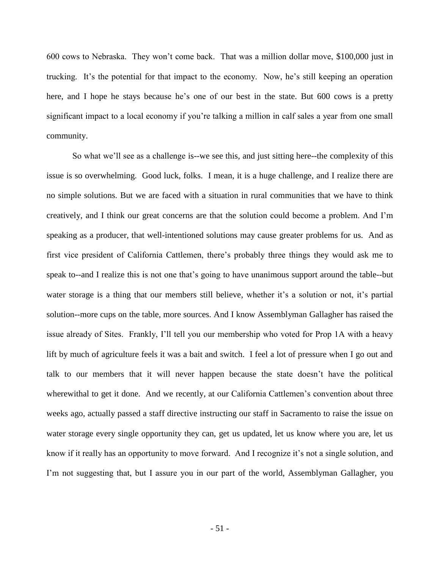600 cows to Nebraska. They won't come back. That was a million dollar move, \$100,000 just in trucking. It's the potential for that impact to the economy. Now, he's still keeping an operation here, and I hope he stays because he's one of our best in the state. But 600 cows is a pretty significant impact to a local economy if you're talking a million in calf sales a year from one small community.

So what we'll see as a challenge is--we see this, and just sitting here--the complexity of this issue is so overwhelming. Good luck, folks. I mean, it is a huge challenge, and I realize there are no simple solutions. But we are faced with a situation in rural communities that we have to think creatively, and I think our great concerns are that the solution could become a problem. And I'm speaking as a producer, that well-intentioned solutions may cause greater problems for us. And as first vice president of California Cattlemen, there's probably three things they would ask me to speak to--and I realize this is not one that's going to have unanimous support around the table--but water storage is a thing that our members still believe, whether it's a solution or not, it's partial solution--more cups on the table, more sources. And I know Assemblyman Gallagher has raised the issue already of Sites. Frankly, I'll tell you our membership who voted for Prop 1A with a heavy lift by much of agriculture feels it was a bait and switch. I feel a lot of pressure when I go out and talk to our members that it will never happen because the state doesn't have the political wherewithal to get it done. And we recently, at our California Cattlemen's convention about three weeks ago, actually passed a staff directive instructing our staff in Sacramento to raise the issue on water storage every single opportunity they can, get us updated, let us know where you are, let us know if it really has an opportunity to move forward. And I recognize it's not a single solution, and I'm not suggesting that, but I assure you in our part of the world, Assemblyman Gallagher, you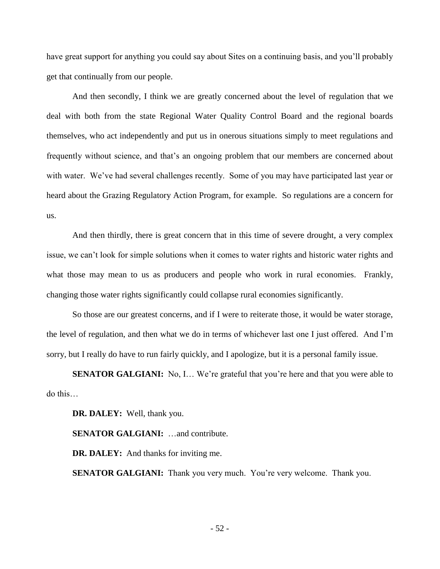have great support for anything you could say about Sites on a continuing basis, and you'll probably get that continually from our people.

And then secondly, I think we are greatly concerned about the level of regulation that we deal with both from the state Regional Water Quality Control Board and the regional boards themselves, who act independently and put us in onerous situations simply to meet regulations and frequently without science, and that's an ongoing problem that our members are concerned about with water. We've had several challenges recently. Some of you may have participated last year or heard about the Grazing Regulatory Action Program, for example. So regulations are a concern for us.

And then thirdly, there is great concern that in this time of severe drought, a very complex issue, we can't look for simple solutions when it comes to water rights and historic water rights and what those may mean to us as producers and people who work in rural economies. Frankly, changing those water rights significantly could collapse rural economies significantly.

So those are our greatest concerns, and if I were to reiterate those, it would be water storage, the level of regulation, and then what we do in terms of whichever last one I just offered. And I'm sorry, but I really do have to run fairly quickly, and I apologize, but it is a personal family issue.

**SENATOR GALGIANI:** No, I... We're grateful that you're here and that you were able to do this…

**DR. DALEY:** Well, thank you.

**SENATOR GALGIANI:** …and contribute.

**DR. DALEY:** And thanks for inviting me.

**SENATOR GALGIANI:** Thank you very much. You're very welcome. Thank you.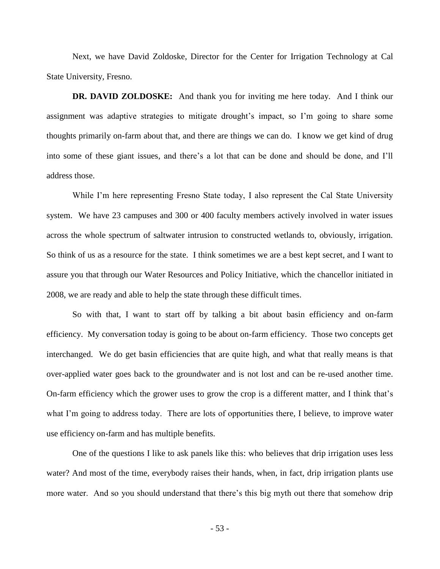Next, we have David Zoldoske, Director for the Center for Irrigation Technology at Cal State University, Fresno.

**DR. DAVID ZOLDOSKE:** And thank you for inviting me here today. And I think our assignment was adaptive strategies to mitigate drought's impact, so I'm going to share some thoughts primarily on-farm about that, and there are things we can do. I know we get kind of drug into some of these giant issues, and there's a lot that can be done and should be done, and I'll address those.

While I'm here representing Fresno State today, I also represent the Cal State University system. We have 23 campuses and 300 or 400 faculty members actively involved in water issues across the whole spectrum of saltwater intrusion to constructed wetlands to, obviously, irrigation. So think of us as a resource for the state. I think sometimes we are a best kept secret, and I want to assure you that through our Water Resources and Policy Initiative, which the chancellor initiated in 2008, we are ready and able to help the state through these difficult times.

So with that, I want to start off by talking a bit about basin efficiency and on-farm efficiency. My conversation today is going to be about on-farm efficiency. Those two concepts get interchanged. We do get basin efficiencies that are quite high, and what that really means is that over-applied water goes back to the groundwater and is not lost and can be re-used another time. On-farm efficiency which the grower uses to grow the crop is a different matter, and I think that's what I'm going to address today. There are lots of opportunities there, I believe, to improve water use efficiency on-farm and has multiple benefits.

One of the questions I like to ask panels like this: who believes that drip irrigation uses less water? And most of the time, everybody raises their hands, when, in fact, drip irrigation plants use more water. And so you should understand that there's this big myth out there that somehow drip

- 53 -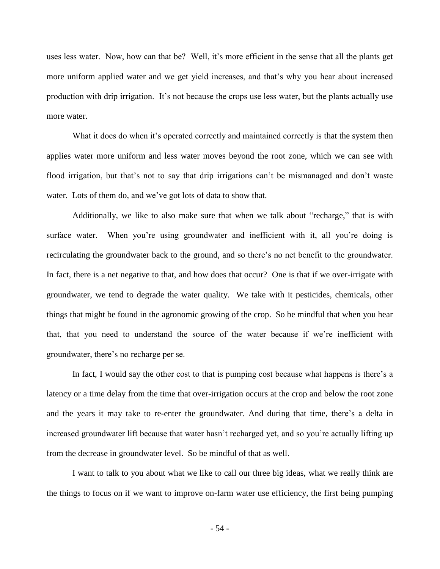uses less water. Now, how can that be? Well, it's more efficient in the sense that all the plants get more uniform applied water and we get yield increases, and that's why you hear about increased production with drip irrigation. It's not because the crops use less water, but the plants actually use more water.

What it does do when it's operated correctly and maintained correctly is that the system then applies water more uniform and less water moves beyond the root zone, which we can see with flood irrigation, but that's not to say that drip irrigations can't be mismanaged and don't waste water. Lots of them do, and we've got lots of data to show that.

Additionally, we like to also make sure that when we talk about "recharge," that is with surface water. When you're using groundwater and inefficient with it, all you're doing is recirculating the groundwater back to the ground, and so there's no net benefit to the groundwater. In fact, there is a net negative to that, and how does that occur? One is that if we over-irrigate with groundwater, we tend to degrade the water quality. We take with it pesticides, chemicals, other things that might be found in the agronomic growing of the crop. So be mindful that when you hear that, that you need to understand the source of the water because if we're inefficient with groundwater, there's no recharge per se.

In fact, I would say the other cost to that is pumping cost because what happens is there's a latency or a time delay from the time that over-irrigation occurs at the crop and below the root zone and the years it may take to re-enter the groundwater. And during that time, there's a delta in increased groundwater lift because that water hasn't recharged yet, and so you're actually lifting up from the decrease in groundwater level. So be mindful of that as well.

I want to talk to you about what we like to call our three big ideas, what we really think are the things to focus on if we want to improve on-farm water use efficiency, the first being pumping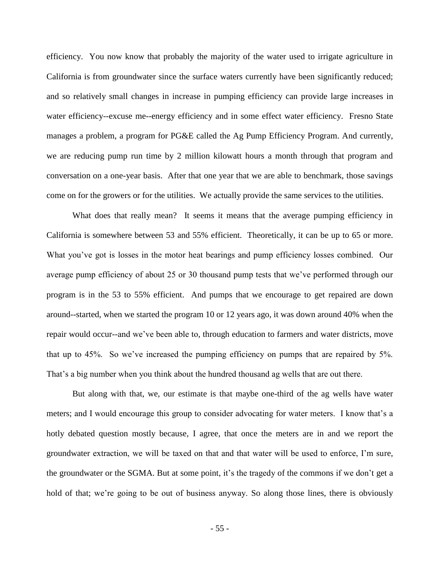efficiency. You now know that probably the majority of the water used to irrigate agriculture in California is from groundwater since the surface waters currently have been significantly reduced; and so relatively small changes in increase in pumping efficiency can provide large increases in water efficiency--excuse me--energy efficiency and in some effect water efficiency. Fresno State manages a problem, a program for PG&E called the Ag Pump Efficiency Program. And currently, we are reducing pump run time by 2 million kilowatt hours a month through that program and conversation on a one-year basis. After that one year that we are able to benchmark, those savings come on for the growers or for the utilities. We actually provide the same services to the utilities.

What does that really mean? It seems it means that the average pumping efficiency in California is somewhere between 53 and 55% efficient. Theoretically, it can be up to 65 or more. What you've got is losses in the motor heat bearings and pump efficiency losses combined. Our average pump efficiency of about 25 or 30 thousand pump tests that we've performed through our program is in the 53 to 55% efficient. And pumps that we encourage to get repaired are down around--started, when we started the program 10 or 12 years ago, it was down around 40% when the repair would occur--and we've been able to, through education to farmers and water districts, move that up to 45%. So we've increased the pumping efficiency on pumps that are repaired by 5%. That's a big number when you think about the hundred thousand ag wells that are out there.

But along with that, we, our estimate is that maybe one-third of the ag wells have water meters; and I would encourage this group to consider advocating for water meters. I know that's a hotly debated question mostly because, I agree, that once the meters are in and we report the groundwater extraction, we will be taxed on that and that water will be used to enforce, I'm sure, the groundwater or the SGMA. But at some point, it's the tragedy of the commons if we don't get a hold of that; we're going to be out of business anyway. So along those lines, there is obviously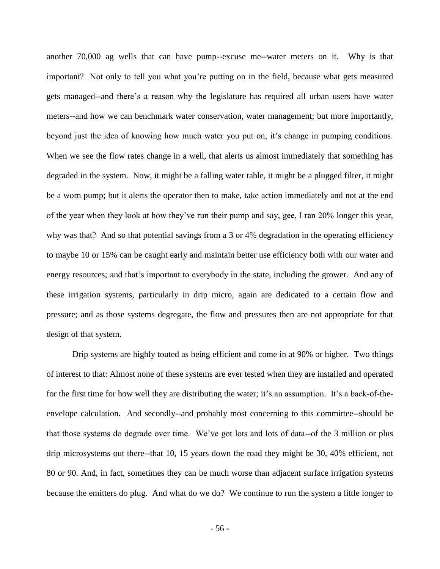another 70,000 ag wells that can have pump--excuse me--water meters on it. Why is that important? Not only to tell you what you're putting on in the field, because what gets measured gets managed--and there's a reason why the legislature has required all urban users have water meters--and how we can benchmark water conservation, water management; but more importantly, beyond just the idea of knowing how much water you put on, it's change in pumping conditions. When we see the flow rates change in a well, that alerts us almost immediately that something has degraded in the system. Now, it might be a falling water table, it might be a plugged filter, it might be a worn pump; but it alerts the operator then to make, take action immediately and not at the end of the year when they look at how they've run their pump and say, gee, I ran 20% longer this year, why was that? And so that potential savings from a 3 or 4% degradation in the operating efficiency to maybe 10 or 15% can be caught early and maintain better use efficiency both with our water and energy resources; and that's important to everybody in the state, including the grower. And any of these irrigation systems, particularly in drip micro, again are dedicated to a certain flow and pressure; and as those systems degregate, the flow and pressures then are not appropriate for that design of that system.

Drip systems are highly touted as being efficient and come in at 90% or higher. Two things of interest to that: Almost none of these systems are ever tested when they are installed and operated for the first time for how well they are distributing the water; it's an assumption. It's a back-of-theenvelope calculation. And secondly--and probably most concerning to this committee--should be that those systems do degrade over time. We've got lots and lots of data--of the 3 million or plus drip microsystems out there--that 10, 15 years down the road they might be 30, 40% efficient, not 80 or 90. And, in fact, sometimes they can be much worse than adjacent surface irrigation systems because the emitters do plug. And what do we do? We continue to run the system a little longer to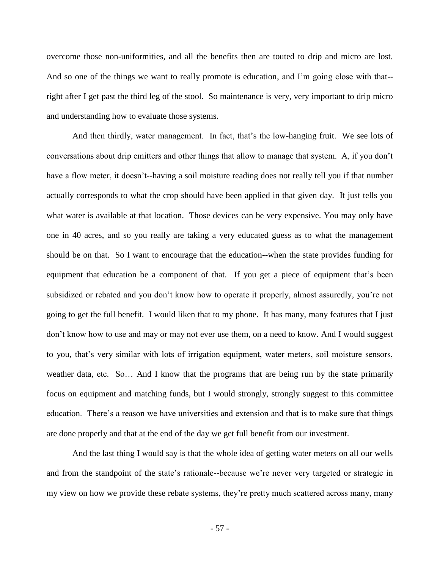overcome those non-uniformities, and all the benefits then are touted to drip and micro are lost. And so one of the things we want to really promote is education, and I'm going close with that- right after I get past the third leg of the stool. So maintenance is very, very important to drip micro and understanding how to evaluate those systems.

And then thirdly, water management. In fact, that's the low-hanging fruit. We see lots of conversations about drip emitters and other things that allow to manage that system. A, if you don't have a flow meter, it doesn't--having a soil moisture reading does not really tell you if that number actually corresponds to what the crop should have been applied in that given day. It just tells you what water is available at that location. Those devices can be very expensive. You may only have one in 40 acres, and so you really are taking a very educated guess as to what the management should be on that. So I want to encourage that the education--when the state provides funding for equipment that education be a component of that. If you get a piece of equipment that's been subsidized or rebated and you don't know how to operate it properly, almost assuredly, you're not going to get the full benefit. I would liken that to my phone. It has many, many features that I just don't know how to use and may or may not ever use them, on a need to know. And I would suggest to you, that's very similar with lots of irrigation equipment, water meters, soil moisture sensors, weather data, etc. So... And I know that the programs that are being run by the state primarily focus on equipment and matching funds, but I would strongly, strongly suggest to this committee education. There's a reason we have universities and extension and that is to make sure that things are done properly and that at the end of the day we get full benefit from our investment.

And the last thing I would say is that the whole idea of getting water meters on all our wells and from the standpoint of the state's rationale--because we're never very targeted or strategic in my view on how we provide these rebate systems, they're pretty much scattered across many, many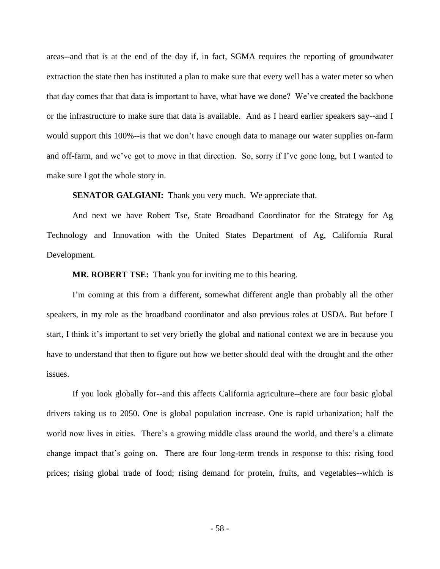areas--and that is at the end of the day if, in fact, SGMA requires the reporting of groundwater extraction the state then has instituted a plan to make sure that every well has a water meter so when that day comes that that data is important to have, what have we done? We've created the backbone or the infrastructure to make sure that data is available. And as I heard earlier speakers say--and I would support this 100%--is that we don't have enough data to manage our water supplies on-farm and off-farm, and we've got to move in that direction. So, sorry if I've gone long, but I wanted to make sure I got the whole story in.

**SENATOR GALGIANI:** Thank you very much. We appreciate that.

And next we have Robert Tse, State Broadband Coordinator for the Strategy for Ag Technology and Innovation with the United States Department of Ag, California Rural Development.

**MR. ROBERT TSE:** Thank you for inviting me to this hearing.

I'm coming at this from a different, somewhat different angle than probably all the other speakers, in my role as the broadband coordinator and also previous roles at USDA. But before I start, I think it's important to set very briefly the global and national context we are in because you have to understand that then to figure out how we better should deal with the drought and the other issues.

If you look globally for--and this affects California agriculture--there are four basic global drivers taking us to 2050. One is global population increase. One is rapid urbanization; half the world now lives in cities. There's a growing middle class around the world, and there's a climate change impact that's going on. There are four long-term trends in response to this: rising food prices; rising global trade of food; rising demand for protein, fruits, and vegetables--which is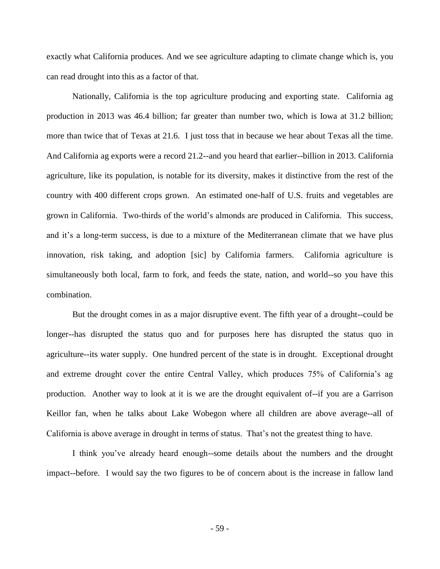exactly what California produces. And we see agriculture adapting to climate change which is, you can read drought into this as a factor of that.

Nationally, California is the top agriculture producing and exporting state. California ag production in 2013 was 46.4 billion; far greater than number two, which is Iowa at 31.2 billion; more than twice that of Texas at 21.6. I just toss that in because we hear about Texas all the time. And California ag exports were a record 21.2--and you heard that earlier--billion in 2013. California agriculture, like its population, is notable for its diversity, makes it distinctive from the rest of the country with 400 different crops grown. An estimated one-half of U.S. fruits and vegetables are grown in California. Two-thirds of the world's almonds are produced in California. This success, and it's a long-term success, is due to a mixture of the Mediterranean climate that we have plus innovation, risk taking, and adoption [sic] by California farmers. California agriculture is simultaneously both local, farm to fork, and feeds the state, nation, and world--so you have this combination.

But the drought comes in as a major disruptive event. The fifth year of a drought--could be longer--has disrupted the status quo and for purposes here has disrupted the status quo in agriculture--its water supply. One hundred percent of the state is in drought. Exceptional drought and extreme drought cover the entire Central Valley, which produces 75% of California's ag production. Another way to look at it is we are the drought equivalent of--if you are a Garrison Keillor fan, when he talks about Lake Wobegon where all children are above average--all of California is above average in drought in terms of status. That's not the greatest thing to have.

I think you've already heard enough--some details about the numbers and the drought impact--before. I would say the two figures to be of concern about is the increase in fallow land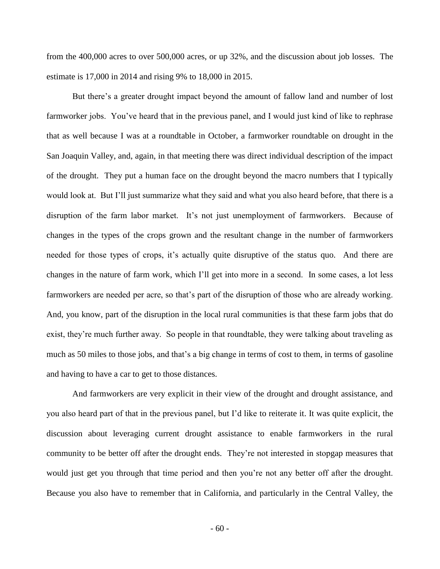from the 400,000 acres to over 500,000 acres, or up 32%, and the discussion about job losses. The estimate is 17,000 in 2014 and rising 9% to 18,000 in 2015.

But there's a greater drought impact beyond the amount of fallow land and number of lost farmworker jobs. You've heard that in the previous panel, and I would just kind of like to rephrase that as well because I was at a roundtable in October, a farmworker roundtable on drought in the San Joaquin Valley, and, again, in that meeting there was direct individual description of the impact of the drought. They put a human face on the drought beyond the macro numbers that I typically would look at. But I'll just summarize what they said and what you also heard before, that there is a disruption of the farm labor market. It's not just unemployment of farmworkers. Because of changes in the types of the crops grown and the resultant change in the number of farmworkers needed for those types of crops, it's actually quite disruptive of the status quo. And there are changes in the nature of farm work, which I'll get into more in a second. In some cases, a lot less farmworkers are needed per acre, so that's part of the disruption of those who are already working. And, you know, part of the disruption in the local rural communities is that these farm jobs that do exist, they're much further away. So people in that roundtable, they were talking about traveling as much as 50 miles to those jobs, and that's a big change in terms of cost to them, in terms of gasoline and having to have a car to get to those distances.

And farmworkers are very explicit in their view of the drought and drought assistance, and you also heard part of that in the previous panel, but I'd like to reiterate it. It was quite explicit, the discussion about leveraging current drought assistance to enable farmworkers in the rural community to be better off after the drought ends. They're not interested in stopgap measures that would just get you through that time period and then you're not any better off after the drought. Because you also have to remember that in California, and particularly in the Central Valley, the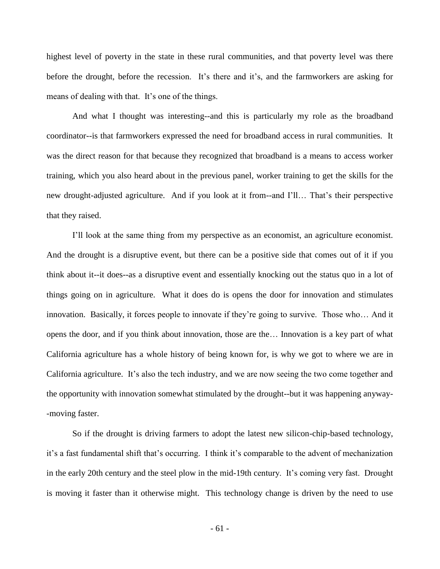highest level of poverty in the state in these rural communities, and that poverty level was there before the drought, before the recession. It's there and it's, and the farmworkers are asking for means of dealing with that. It's one of the things.

And what I thought was interesting--and this is particularly my role as the broadband coordinator--is that farmworkers expressed the need for broadband access in rural communities. It was the direct reason for that because they recognized that broadband is a means to access worker training, which you also heard about in the previous panel, worker training to get the skills for the new drought-adjusted agriculture. And if you look at it from--and I'll… That's their perspective that they raised.

I'll look at the same thing from my perspective as an economist, an agriculture economist. And the drought is a disruptive event, but there can be a positive side that comes out of it if you think about it--it does--as a disruptive event and essentially knocking out the status quo in a lot of things going on in agriculture. What it does do is opens the door for innovation and stimulates innovation. Basically, it forces people to innovate if they're going to survive. Those who… And it opens the door, and if you think about innovation, those are the… Innovation is a key part of what California agriculture has a whole history of being known for, is why we got to where we are in California agriculture. It's also the tech industry, and we are now seeing the two come together and the opportunity with innovation somewhat stimulated by the drought--but it was happening anyway- -moving faster.

So if the drought is driving farmers to adopt the latest new silicon-chip-based technology, it's a fast fundamental shift that's occurring. I think it's comparable to the advent of mechanization in the early 20th century and the steel plow in the mid-19th century. It's coming very fast. Drought is moving it faster than it otherwise might. This technology change is driven by the need to use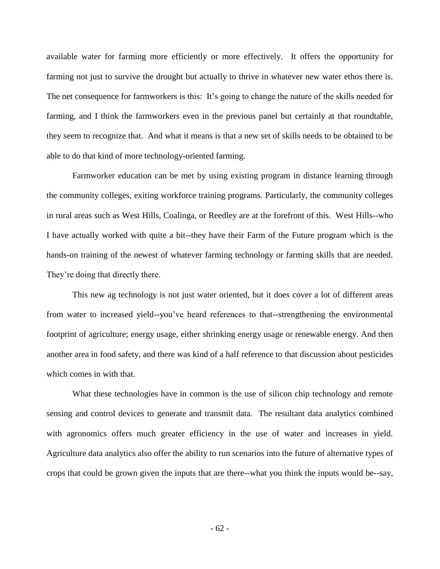available water for farming more efficiently or more effectively. It offers the opportunity for farming not just to survive the drought but actually to thrive in whatever new water ethos there is. The net consequence for farmworkers is this: It's going to change the nature of the skills needed for farming, and I think the farmworkers even in the previous panel but certainly at that roundtable, they seem to recognize that. And what it means is that a new set of skills needs to be obtained to be able to do that kind of more technology-oriented farming.

Farmworker education can be met by using existing program in distance learning through the community colleges, exiting workforce training programs. Particularly, the community colleges in rural areas such as West Hills, Coalinga, or Reedley are at the forefront of this. West Hills--who I have actually worked with quite a bit--they have their Farm of the Future program which is the hands-on training of the newest of whatever farming technology or farming skills that are needed. They're doing that directly there.

This new ag technology is not just water oriented, but it does cover a lot of different areas from water to increased yield--you've heard references to that--strengthening the environmental footprint of agriculture; energy usage, either shrinking energy usage or renewable energy. And then another area in food safety, and there was kind of a half reference to that discussion about pesticides which comes in with that.

What these technologies have in common is the use of silicon chip technology and remote sensing and control devices to generate and transmit data. The resultant data analytics combined with agronomics offers much greater efficiency in the use of water and increases in yield. Agriculture data analytics also offer the ability to run scenarios into the future of alternative types of crops that could be grown given the inputs that are there--what you think the inputs would be--say,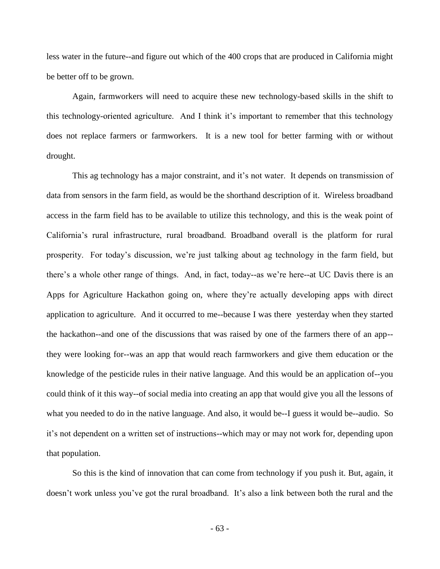less water in the future--and figure out which of the 400 crops that are produced in California might be better off to be grown.

Again, farmworkers will need to acquire these new technology-based skills in the shift to this technology-oriented agriculture. And I think it's important to remember that this technology does not replace farmers or farmworkers. It is a new tool for better farming with or without drought.

This ag technology has a major constraint, and it's not water. It depends on transmission of data from sensors in the farm field, as would be the shorthand description of it. Wireless broadband access in the farm field has to be available to utilize this technology, and this is the weak point of California's rural infrastructure, rural broadband. Broadband overall is the platform for rural prosperity. For today's discussion, we're just talking about ag technology in the farm field, but there's a whole other range of things. And, in fact, today--as we're here--at UC Davis there is an Apps for Agriculture Hackathon going on, where they're actually developing apps with direct application to agriculture. And it occurred to me--because I was there yesterday when they started the hackathon--and one of the discussions that was raised by one of the farmers there of an app- they were looking for--was an app that would reach farmworkers and give them education or the knowledge of the pesticide rules in their native language. And this would be an application of--you could think of it this way--of social media into creating an app that would give you all the lessons of what you needed to do in the native language. And also, it would be--I guess it would be--audio. So it's not dependent on a written set of instructions--which may or may not work for, depending upon that population.

So this is the kind of innovation that can come from technology if you push it. But, again, it doesn't work unless you've got the rural broadband. It's also a link between both the rural and the

- 63 -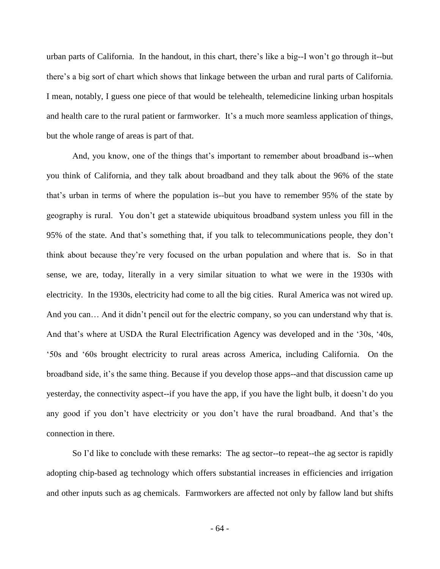urban parts of California. In the handout, in this chart, there's like a big--I won't go through it--but there's a big sort of chart which shows that linkage between the urban and rural parts of California. I mean, notably, I guess one piece of that would be telehealth, telemedicine linking urban hospitals and health care to the rural patient or farmworker. It's a much more seamless application of things, but the whole range of areas is part of that.

And, you know, one of the things that's important to remember about broadband is--when you think of California, and they talk about broadband and they talk about the 96% of the state that's urban in terms of where the population is--but you have to remember 95% of the state by geography is rural. You don't get a statewide ubiquitous broadband system unless you fill in the 95% of the state. And that's something that, if you talk to telecommunications people, they don't think about because they're very focused on the urban population and where that is. So in that sense, we are, today, literally in a very similar situation to what we were in the 1930s with electricity. In the 1930s, electricity had come to all the big cities. Rural America was not wired up. And you can… And it didn't pencil out for the electric company, so you can understand why that is. And that's where at USDA the Rural Electrification Agency was developed and in the '30s, '40s, '50s and '60s brought electricity to rural areas across America, including California. On the broadband side, it's the same thing. Because if you develop those apps--and that discussion came up yesterday, the connectivity aspect--if you have the app, if you have the light bulb, it doesn't do you any good if you don't have electricity or you don't have the rural broadband. And that's the connection in there.

So I'd like to conclude with these remarks: The ag sector--to repeat--the ag sector is rapidly adopting chip-based ag technology which offers substantial increases in efficiencies and irrigation and other inputs such as ag chemicals. Farmworkers are affected not only by fallow land but shifts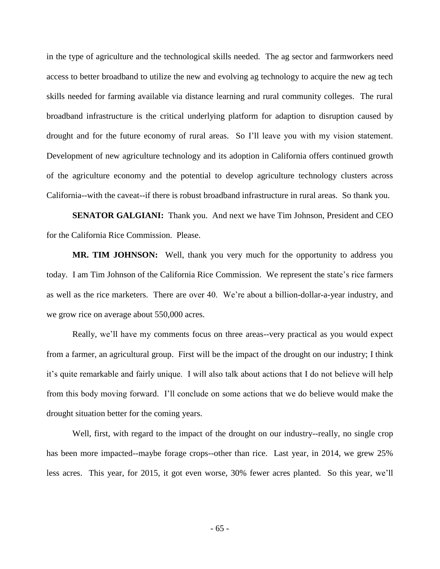in the type of agriculture and the technological skills needed. The ag sector and farmworkers need access to better broadband to utilize the new and evolving ag technology to acquire the new ag tech skills needed for farming available via distance learning and rural community colleges. The rural broadband infrastructure is the critical underlying platform for adaption to disruption caused by drought and for the future economy of rural areas. So I'll leave you with my vision statement. Development of new agriculture technology and its adoption in California offers continued growth of the agriculture economy and the potential to develop agriculture technology clusters across California--with the caveat--if there is robust broadband infrastructure in rural areas. So thank you.

**SENATOR GALGIANI:** Thank you. And next we have Tim Johnson, President and CEO for the California Rice Commission. Please.

**MR. TIM JOHNSON:** Well, thank you very much for the opportunity to address you today. I am Tim Johnson of the California Rice Commission. We represent the state's rice farmers as well as the rice marketers. There are over 40. We're about a billion-dollar-a-year industry, and we grow rice on average about 550,000 acres.

Really, we'll have my comments focus on three areas--very practical as you would expect from a farmer, an agricultural group. First will be the impact of the drought on our industry; I think it's quite remarkable and fairly unique. I will also talk about actions that I do not believe will help from this body moving forward. I'll conclude on some actions that we do believe would make the drought situation better for the coming years.

Well, first, with regard to the impact of the drought on our industry--really, no single crop has been more impacted--maybe forage crops--other than rice. Last year, in 2014, we grew 25% less acres. This year, for 2015, it got even worse, 30% fewer acres planted. So this year, we'll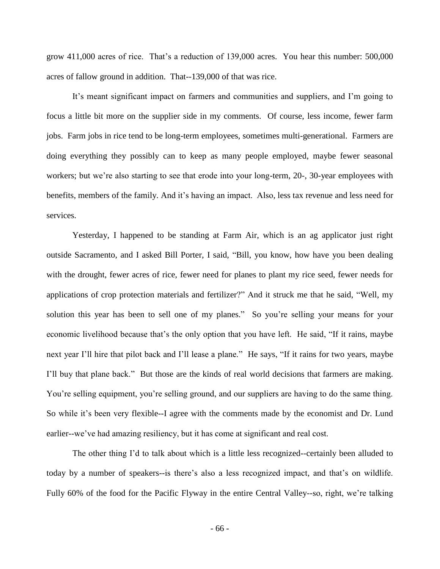grow 411,000 acres of rice. That's a reduction of 139,000 acres. You hear this number: 500,000 acres of fallow ground in addition. That--139,000 of that was rice.

It's meant significant impact on farmers and communities and suppliers, and I'm going to focus a little bit more on the supplier side in my comments. Of course, less income, fewer farm jobs. Farm jobs in rice tend to be long-term employees, sometimes multi-generational. Farmers are doing everything they possibly can to keep as many people employed, maybe fewer seasonal workers; but we're also starting to see that erode into your long-term, 20-, 30-year employees with benefits, members of the family. And it's having an impact. Also, less tax revenue and less need for services.

Yesterday, I happened to be standing at Farm Air, which is an ag applicator just right outside Sacramento, and I asked Bill Porter, I said, "Bill, you know, how have you been dealing with the drought, fewer acres of rice, fewer need for planes to plant my rice seed, fewer needs for applications of crop protection materials and fertilizer?" And it struck me that he said, "Well, my solution this year has been to sell one of my planes." So you're selling your means for your economic livelihood because that's the only option that you have left. He said, "If it rains, maybe next year I'll hire that pilot back and I'll lease a plane." He says, "If it rains for two years, maybe I'll buy that plane back." But those are the kinds of real world decisions that farmers are making. You're selling equipment, you're selling ground, and our suppliers are having to do the same thing. So while it's been very flexible--I agree with the comments made by the economist and Dr. Lund earlier--we've had amazing resiliency, but it has come at significant and real cost.

The other thing I'd to talk about which is a little less recognized--certainly been alluded to today by a number of speakers--is there's also a less recognized impact, and that's on wildlife. Fully 60% of the food for the Pacific Flyway in the entire Central Valley--so, right, we're talking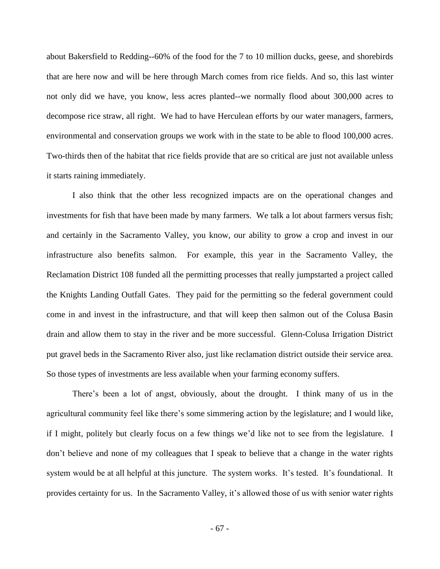about Bakersfield to Redding--60% of the food for the 7 to 10 million ducks, geese, and shorebirds that are here now and will be here through March comes from rice fields. And so, this last winter not only did we have, you know, less acres planted--we normally flood about 300,000 acres to decompose rice straw, all right. We had to have Herculean efforts by our water managers, farmers, environmental and conservation groups we work with in the state to be able to flood 100,000 acres. Two-thirds then of the habitat that rice fields provide that are so critical are just not available unless it starts raining immediately.

I also think that the other less recognized impacts are on the operational changes and investments for fish that have been made by many farmers. We talk a lot about farmers versus fish; and certainly in the Sacramento Valley, you know, our ability to grow a crop and invest in our infrastructure also benefits salmon. For example, this year in the Sacramento Valley, the Reclamation District 108 funded all the permitting processes that really jumpstarted a project called the Knights Landing Outfall Gates. They paid for the permitting so the federal government could come in and invest in the infrastructure, and that will keep then salmon out of the Colusa Basin drain and allow them to stay in the river and be more successful. Glenn-Colusa Irrigation District put gravel beds in the Sacramento River also, just like reclamation district outside their service area. So those types of investments are less available when your farming economy suffers.

There's been a lot of angst, obviously, about the drought. I think many of us in the agricultural community feel like there's some simmering action by the legislature; and I would like, if I might, politely but clearly focus on a few things we'd like not to see from the legislature. I don't believe and none of my colleagues that I speak to believe that a change in the water rights system would be at all helpful at this juncture. The system works. It's tested. It's foundational. It provides certainty for us. In the Sacramento Valley, it's allowed those of us with senior water rights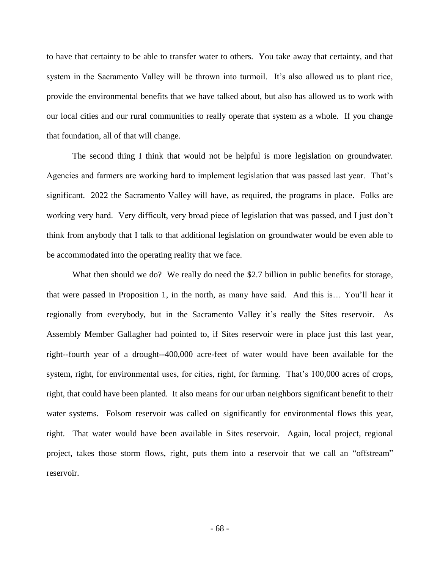to have that certainty to be able to transfer water to others. You take away that certainty, and that system in the Sacramento Valley will be thrown into turmoil. It's also allowed us to plant rice, provide the environmental benefits that we have talked about, but also has allowed us to work with our local cities and our rural communities to really operate that system as a whole. If you change that foundation, all of that will change.

The second thing I think that would not be helpful is more legislation on groundwater. Agencies and farmers are working hard to implement legislation that was passed last year. That's significant. 2022 the Sacramento Valley will have, as required, the programs in place. Folks are working very hard. Very difficult, very broad piece of legislation that was passed, and I just don't think from anybody that I talk to that additional legislation on groundwater would be even able to be accommodated into the operating reality that we face.

What then should we do? We really do need the \$2.7 billion in public benefits for storage, that were passed in Proposition 1, in the north, as many have said. And this is… You'll hear it regionally from everybody, but in the Sacramento Valley it's really the Sites reservoir. As Assembly Member Gallagher had pointed to, if Sites reservoir were in place just this last year, right--fourth year of a drought--400,000 acre-feet of water would have been available for the system, right, for environmental uses, for cities, right, for farming. That's 100,000 acres of crops, right, that could have been planted. It also means for our urban neighbors significant benefit to their water systems. Folsom reservoir was called on significantly for environmental flows this year, right. That water would have been available in Sites reservoir. Again, local project, regional project, takes those storm flows, right, puts them into a reservoir that we call an "offstream" reservoir.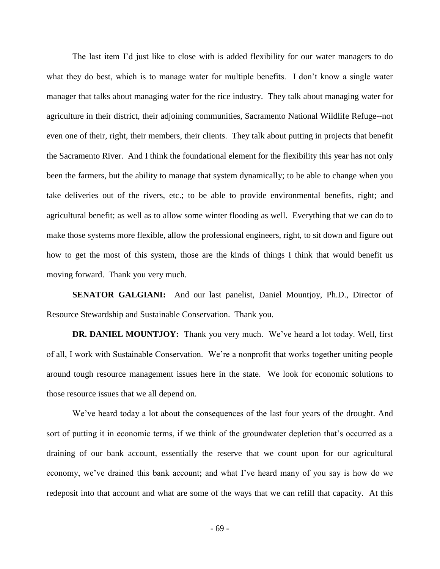The last item I'd just like to close with is added flexibility for our water managers to do what they do best, which is to manage water for multiple benefits. I don't know a single water manager that talks about managing water for the rice industry. They talk about managing water for agriculture in their district, their adjoining communities, Sacramento National Wildlife Refuge--not even one of their, right, their members, their clients. They talk about putting in projects that benefit the Sacramento River. And I think the foundational element for the flexibility this year has not only been the farmers, but the ability to manage that system dynamically; to be able to change when you take deliveries out of the rivers, etc.; to be able to provide environmental benefits, right; and agricultural benefit; as well as to allow some winter flooding as well. Everything that we can do to make those systems more flexible, allow the professional engineers, right, to sit down and figure out how to get the most of this system, those are the kinds of things I think that would benefit us moving forward. Thank you very much.

**SENATOR GALGIANI:** And our last panelist, Daniel Mountjoy, Ph.D., Director of Resource Stewardship and Sustainable Conservation. Thank you.

**DR. DANIEL MOUNTJOY:** Thank you very much. We've heard a lot today. Well, first of all, I work with Sustainable Conservation. We're a nonprofit that works together uniting people around tough resource management issues here in the state. We look for economic solutions to those resource issues that we all depend on.

We've heard today a lot about the consequences of the last four years of the drought. And sort of putting it in economic terms, if we think of the groundwater depletion that's occurred as a draining of our bank account, essentially the reserve that we count upon for our agricultural economy, we've drained this bank account; and what I've heard many of you say is how do we redeposit into that account and what are some of the ways that we can refill that capacity. At this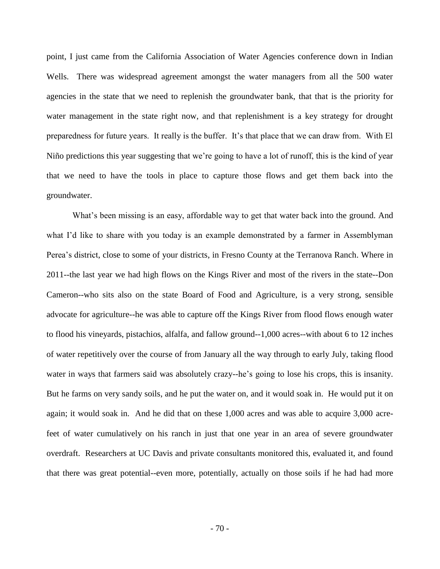point, I just came from the California Association of Water Agencies conference down in Indian Wells. There was widespread agreement amongst the water managers from all the 500 water agencies in the state that we need to replenish the groundwater bank, that that is the priority for water management in the state right now, and that replenishment is a key strategy for drought preparedness for future years. It really is the buffer. It's that place that we can draw from. With El Niño predictions this year suggesting that we're going to have a lot of runoff, this is the kind of year that we need to have the tools in place to capture those flows and get them back into the groundwater.

What's been missing is an easy, affordable way to get that water back into the ground. And what I'd like to share with you today is an example demonstrated by a farmer in Assemblyman Perea's district, close to some of your districts, in Fresno County at the Terranova Ranch. Where in 2011--the last year we had high flows on the Kings River and most of the rivers in the state--Don Cameron--who sits also on the state Board of Food and Agriculture, is a very strong, sensible advocate for agriculture--he was able to capture off the Kings River from flood flows enough water to flood his vineyards, pistachios, alfalfa, and fallow ground--1,000 acres--with about 6 to 12 inches of water repetitively over the course of from January all the way through to early July, taking flood water in ways that farmers said was absolutely crazy--he's going to lose his crops, this is insanity. But he farms on very sandy soils, and he put the water on, and it would soak in. He would put it on again; it would soak in. And he did that on these 1,000 acres and was able to acquire 3,000 acrefeet of water cumulatively on his ranch in just that one year in an area of severe groundwater overdraft. Researchers at UC Davis and private consultants monitored this, evaluated it, and found that there was great potential--even more, potentially, actually on those soils if he had had more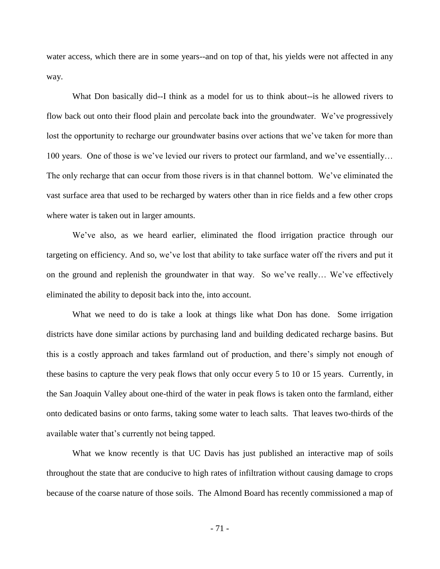water access, which there are in some years--and on top of that, his yields were not affected in any way.

What Don basically did--I think as a model for us to think about--is he allowed rivers to flow back out onto their flood plain and percolate back into the groundwater. We've progressively lost the opportunity to recharge our groundwater basins over actions that we've taken for more than 100 years. One of those is we've levied our rivers to protect our farmland, and we've essentially… The only recharge that can occur from those rivers is in that channel bottom. We've eliminated the vast surface area that used to be recharged by waters other than in rice fields and a few other crops where water is taken out in larger amounts.

We've also, as we heard earlier, eliminated the flood irrigation practice through our targeting on efficiency. And so, we've lost that ability to take surface water off the rivers and put it on the ground and replenish the groundwater in that way. So we've really… We've effectively eliminated the ability to deposit back into the, into account.

What we need to do is take a look at things like what Don has done. Some irrigation districts have done similar actions by purchasing land and building dedicated recharge basins. But this is a costly approach and takes farmland out of production, and there's simply not enough of these basins to capture the very peak flows that only occur every 5 to 10 or 15 years. Currently, in the San Joaquin Valley about one-third of the water in peak flows is taken onto the farmland, either onto dedicated basins or onto farms, taking some water to leach salts. That leaves two-thirds of the available water that's currently not being tapped.

What we know recently is that UC Davis has just published an interactive map of soils throughout the state that are conducive to high rates of infiltration without causing damage to crops because of the coarse nature of those soils. The Almond Board has recently commissioned a map of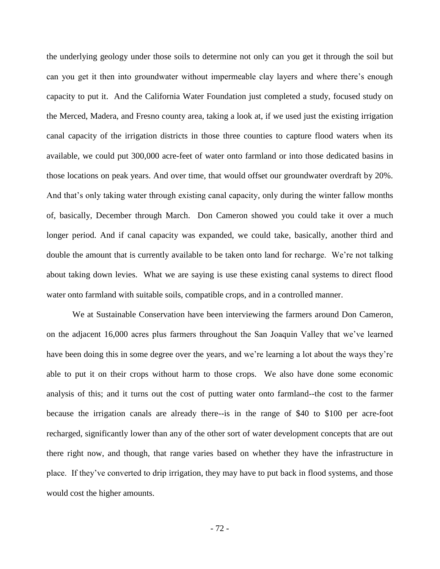the underlying geology under those soils to determine not only can you get it through the soil but can you get it then into groundwater without impermeable clay layers and where there's enough capacity to put it. And the California Water Foundation just completed a study, focused study on the Merced, Madera, and Fresno county area, taking a look at, if we used just the existing irrigation canal capacity of the irrigation districts in those three counties to capture flood waters when its available, we could put 300,000 acre-feet of water onto farmland or into those dedicated basins in those locations on peak years. And over time, that would offset our groundwater overdraft by 20%. And that's only taking water through existing canal capacity, only during the winter fallow months of, basically, December through March. Don Cameron showed you could take it over a much longer period. And if canal capacity was expanded, we could take, basically, another third and double the amount that is currently available to be taken onto land for recharge. We're not talking about taking down levies. What we are saying is use these existing canal systems to direct flood water onto farmland with suitable soils, compatible crops, and in a controlled manner.

We at Sustainable Conservation have been interviewing the farmers around Don Cameron, on the adjacent 16,000 acres plus farmers throughout the San Joaquin Valley that we've learned have been doing this in some degree over the years, and we're learning a lot about the ways they're able to put it on their crops without harm to those crops. We also have done some economic analysis of this; and it turns out the cost of putting water onto farmland--the cost to the farmer because the irrigation canals are already there--is in the range of \$40 to \$100 per acre-foot recharged, significantly lower than any of the other sort of water development concepts that are out there right now, and though, that range varies based on whether they have the infrastructure in place. If they've converted to drip irrigation, they may have to put back in flood systems, and those would cost the higher amounts.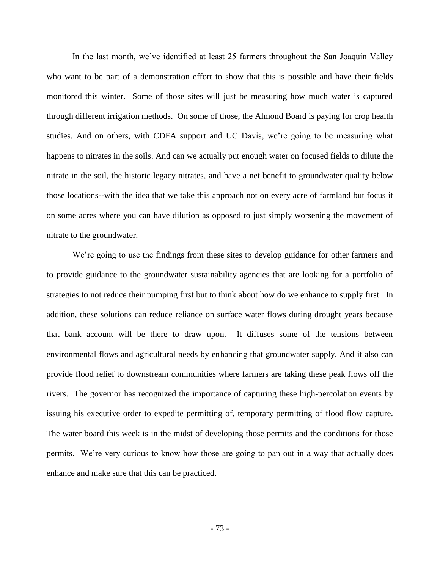In the last month, we've identified at least 25 farmers throughout the San Joaquin Valley who want to be part of a demonstration effort to show that this is possible and have their fields monitored this winter. Some of those sites will just be measuring how much water is captured through different irrigation methods. On some of those, the Almond Board is paying for crop health studies. And on others, with CDFA support and UC Davis, we're going to be measuring what happens to nitrates in the soils. And can we actually put enough water on focused fields to dilute the nitrate in the soil, the historic legacy nitrates, and have a net benefit to groundwater quality below those locations--with the idea that we take this approach not on every acre of farmland but focus it on some acres where you can have dilution as opposed to just simply worsening the movement of nitrate to the groundwater.

We're going to use the findings from these sites to develop guidance for other farmers and to provide guidance to the groundwater sustainability agencies that are looking for a portfolio of strategies to not reduce their pumping first but to think about how do we enhance to supply first. In addition, these solutions can reduce reliance on surface water flows during drought years because that bank account will be there to draw upon. It diffuses some of the tensions between environmental flows and agricultural needs by enhancing that groundwater supply. And it also can provide flood relief to downstream communities where farmers are taking these peak flows off the rivers. The governor has recognized the importance of capturing these high-percolation events by issuing his executive order to expedite permitting of, temporary permitting of flood flow capture. The water board this week is in the midst of developing those permits and the conditions for those permits. We're very curious to know how those are going to pan out in a way that actually does enhance and make sure that this can be practiced.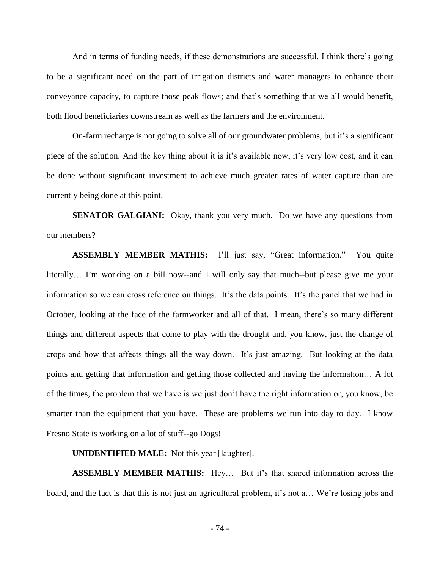And in terms of funding needs, if these demonstrations are successful, I think there's going to be a significant need on the part of irrigation districts and water managers to enhance their conveyance capacity, to capture those peak flows; and that's something that we all would benefit, both flood beneficiaries downstream as well as the farmers and the environment.

On-farm recharge is not going to solve all of our groundwater problems, but it's a significant piece of the solution. And the key thing about it is it's available now, it's very low cost, and it can be done without significant investment to achieve much greater rates of water capture than are currently being done at this point.

**SENATOR GALGIANI:** Okay, thank you very much. Do we have any questions from our members?

**ASSEMBLY MEMBER MATHIS:** I'll just say, "Great information." You quite literally… I'm working on a bill now--and I will only say that much--but please give me your information so we can cross reference on things. It's the data points. It's the panel that we had in October, looking at the face of the farmworker and all of that. I mean, there's so many different things and different aspects that come to play with the drought and, you know, just the change of crops and how that affects things all the way down. It's just amazing. But looking at the data points and getting that information and getting those collected and having the information… A lot of the times, the problem that we have is we just don't have the right information or, you know, be smarter than the equipment that you have. These are problems we run into day to day. I know Fresno State is working on a lot of stuff--go Dogs!

**UNIDENTIFIED MALE:** Not this year [laughter].

**ASSEMBLY MEMBER MATHIS:** Hey… But it's that shared information across the board, and the fact is that this is not just an agricultural problem, it's not a… We're losing jobs and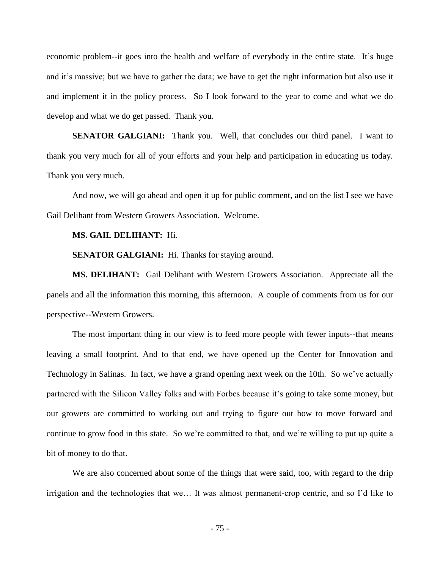economic problem--it goes into the health and welfare of everybody in the entire state. It's huge and it's massive; but we have to gather the data; we have to get the right information but also use it and implement it in the policy process. So I look forward to the year to come and what we do develop and what we do get passed. Thank you.

**SENATOR GALGIANI:** Thank you. Well, that concludes our third panel. I want to thank you very much for all of your efforts and your help and participation in educating us today. Thank you very much.

And now, we will go ahead and open it up for public comment, and on the list I see we have Gail Delihant from Western Growers Association. Welcome.

## **MS. GAIL DELIHANT:** Hi.

**SENATOR GALGIANI:** Hi. Thanks for staying around.

**MS. DELIHANT:** Gail Delihant with Western Growers Association. Appreciate all the panels and all the information this morning, this afternoon. A couple of comments from us for our perspective--Western Growers.

The most important thing in our view is to feed more people with fewer inputs--that means leaving a small footprint. And to that end, we have opened up the Center for Innovation and Technology in Salinas. In fact, we have a grand opening next week on the 10th. So we've actually partnered with the Silicon Valley folks and with Forbes because it's going to take some money, but our growers are committed to working out and trying to figure out how to move forward and continue to grow food in this state. So we're committed to that, and we're willing to put up quite a bit of money to do that.

We are also concerned about some of the things that were said, too, with regard to the drip irrigation and the technologies that we… It was almost permanent-crop centric, and so I'd like to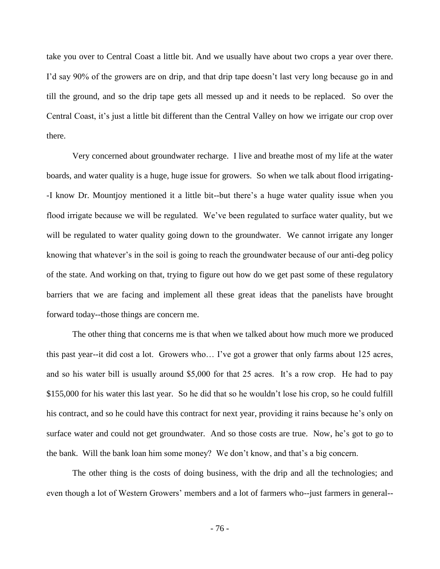take you over to Central Coast a little bit. And we usually have about two crops a year over there. I'd say 90% of the growers are on drip, and that drip tape doesn't last very long because go in and till the ground, and so the drip tape gets all messed up and it needs to be replaced. So over the Central Coast, it's just a little bit different than the Central Valley on how we irrigate our crop over there.

Very concerned about groundwater recharge. I live and breathe most of my life at the water boards, and water quality is a huge, huge issue for growers. So when we talk about flood irrigating- -I know Dr. Mountjoy mentioned it a little bit--but there's a huge water quality issue when you flood irrigate because we will be regulated. We've been regulated to surface water quality, but we will be regulated to water quality going down to the groundwater. We cannot irrigate any longer knowing that whatever's in the soil is going to reach the groundwater because of our anti-deg policy of the state. And working on that, trying to figure out how do we get past some of these regulatory barriers that we are facing and implement all these great ideas that the panelists have brought forward today--those things are concern me.

The other thing that concerns me is that when we talked about how much more we produced this past year--it did cost a lot. Growers who… I've got a grower that only farms about 125 acres, and so his water bill is usually around \$5,000 for that 25 acres. It's a row crop. He had to pay \$155,000 for his water this last year. So he did that so he wouldn't lose his crop, so he could fulfill his contract, and so he could have this contract for next year, providing it rains because he's only on surface water and could not get groundwater. And so those costs are true. Now, he's got to go to the bank. Will the bank loan him some money? We don't know, and that's a big concern.

The other thing is the costs of doing business, with the drip and all the technologies; and even though a lot of Western Growers' members and a lot of farmers who--just farmers in general--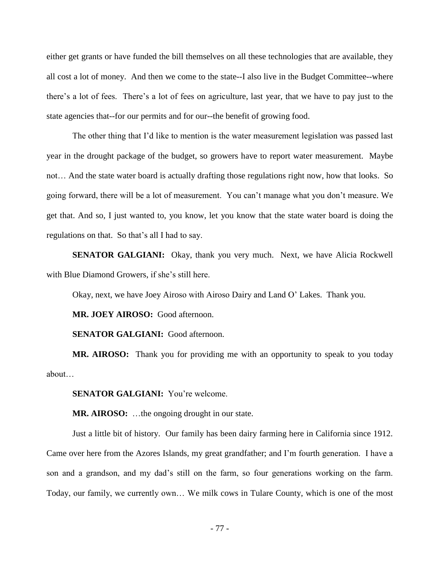either get grants or have funded the bill themselves on all these technologies that are available, they all cost a lot of money. And then we come to the state--I also live in the Budget Committee--where there's a lot of fees. There's a lot of fees on agriculture, last year, that we have to pay just to the state agencies that--for our permits and for our--the benefit of growing food.

The other thing that I'd like to mention is the water measurement legislation was passed last year in the drought package of the budget, so growers have to report water measurement. Maybe not… And the state water board is actually drafting those regulations right now, how that looks. So going forward, there will be a lot of measurement. You can't manage what you don't measure. We get that. And so, I just wanted to, you know, let you know that the state water board is doing the regulations on that. So that's all I had to say.

**SENATOR GALGIANI:** Okay, thank you very much. Next, we have Alicia Rockwell with Blue Diamond Growers, if she's still here.

Okay, next, we have Joey Airoso with Airoso Dairy and Land O' Lakes. Thank you.

**MR. JOEY AIROSO:** Good afternoon.

**SENATOR GALGIANI:** Good afternoon.

**MR. AIROSO:** Thank you for providing me with an opportunity to speak to you today about…

**SENATOR GALGIANI:** You're welcome.

**MR. AIROSO:** …the ongoing drought in our state.

Just a little bit of history. Our family has been dairy farming here in California since 1912. Came over here from the Azores Islands, my great grandfather; and I'm fourth generation. I have a son and a grandson, and my dad's still on the farm, so four generations working on the farm. Today, our family, we currently own… We milk cows in Tulare County, which is one of the most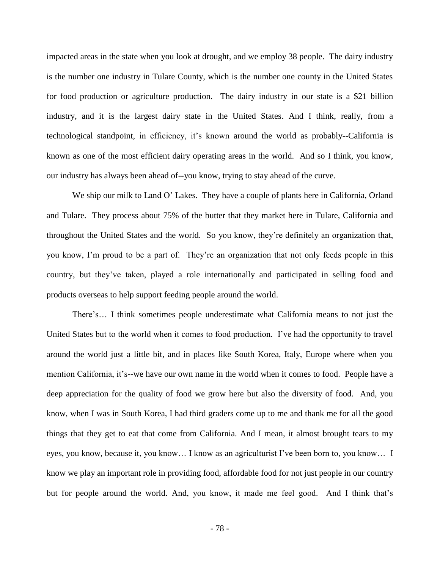impacted areas in the state when you look at drought, and we employ 38 people. The dairy industry is the number one industry in Tulare County, which is the number one county in the United States for food production or agriculture production. The dairy industry in our state is a \$21 billion industry, and it is the largest dairy state in the United States. And I think, really, from a technological standpoint, in efficiency, it's known around the world as probably--California is known as one of the most efficient dairy operating areas in the world. And so I think, you know, our industry has always been ahead of--you know, trying to stay ahead of the curve.

We ship our milk to Land O' Lakes. They have a couple of plants here in California, Orland and Tulare. They process about 75% of the butter that they market here in Tulare, California and throughout the United States and the world. So you know, they're definitely an organization that, you know, I'm proud to be a part of. They're an organization that not only feeds people in this country, but they've taken, played a role internationally and participated in selling food and products overseas to help support feeding people around the world.

There's… I think sometimes people underestimate what California means to not just the United States but to the world when it comes to food production. I've had the opportunity to travel around the world just a little bit, and in places like South Korea, Italy, Europe where when you mention California, it's--we have our own name in the world when it comes to food. People have a deep appreciation for the quality of food we grow here but also the diversity of food. And, you know, when I was in South Korea, I had third graders come up to me and thank me for all the good things that they get to eat that come from California. And I mean, it almost brought tears to my eyes, you know, because it, you know… I know as an agriculturist I've been born to, you know… I know we play an important role in providing food, affordable food for not just people in our country but for people around the world. And, you know, it made me feel good. And I think that's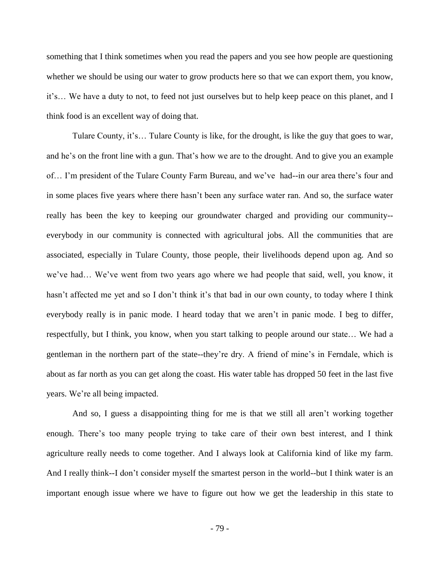something that I think sometimes when you read the papers and you see how people are questioning whether we should be using our water to grow products here so that we can export them, you know, it's… We have a duty to not, to feed not just ourselves but to help keep peace on this planet, and I think food is an excellent way of doing that.

Tulare County, it's… Tulare County is like, for the drought, is like the guy that goes to war, and he's on the front line with a gun. That's how we are to the drought. And to give you an example of… I'm president of the Tulare County Farm Bureau, and we've had--in our area there's four and in some places five years where there hasn't been any surface water ran. And so, the surface water really has been the key to keeping our groundwater charged and providing our community- everybody in our community is connected with agricultural jobs. All the communities that are associated, especially in Tulare County, those people, their livelihoods depend upon ag. And so we've had… We've went from two years ago where we had people that said, well, you know, it hasn't affected me yet and so I don't think it's that bad in our own county, to today where I think everybody really is in panic mode. I heard today that we aren't in panic mode. I beg to differ, respectfully, but I think, you know, when you start talking to people around our state… We had a gentleman in the northern part of the state--they're dry. A friend of mine's in Ferndale, which is about as far north as you can get along the coast. His water table has dropped 50 feet in the last five years. We're all being impacted.

And so, I guess a disappointing thing for me is that we still all aren't working together enough. There's too many people trying to take care of their own best interest, and I think agriculture really needs to come together. And I always look at California kind of like my farm. And I really think--I don't consider myself the smartest person in the world--but I think water is an important enough issue where we have to figure out how we get the leadership in this state to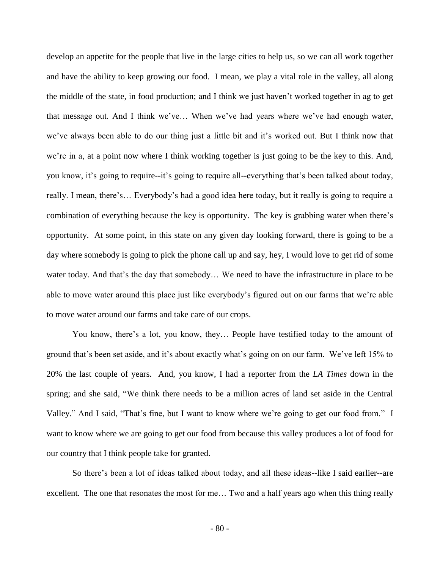develop an appetite for the people that live in the large cities to help us, so we can all work together and have the ability to keep growing our food. I mean, we play a vital role in the valley, all along the middle of the state, in food production; and I think we just haven't worked together in ag to get that message out. And I think we've… When we've had years where we've had enough water, we've always been able to do our thing just a little bit and it's worked out. But I think now that we're in a, at a point now where I think working together is just going to be the key to this. And, you know, it's going to require--it's going to require all--everything that's been talked about today, really. I mean, there's… Everybody's had a good idea here today, but it really is going to require a combination of everything because the key is opportunity. The key is grabbing water when there's opportunity. At some point, in this state on any given day looking forward, there is going to be a day where somebody is going to pick the phone call up and say, hey, I would love to get rid of some water today. And that's the day that somebody… We need to have the infrastructure in place to be able to move water around this place just like everybody's figured out on our farms that we're able to move water around our farms and take care of our crops.

You know, there's a lot, you know, they… People have testified today to the amount of ground that's been set aside, and it's about exactly what's going on on our farm. We've left 15% to 20% the last couple of years. And, you know, I had a reporter from the *LA Times* down in the spring; and she said, "We think there needs to be a million acres of land set aside in the Central Valley." And I said, "That's fine, but I want to know where we're going to get our food from." I want to know where we are going to get our food from because this valley produces a lot of food for our country that I think people take for granted.

So there's been a lot of ideas talked about today, and all these ideas--like I said earlier--are excellent. The one that resonates the most for me... Two and a half years ago when this thing really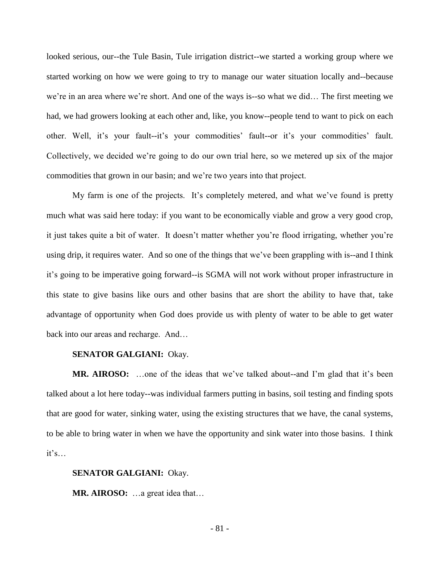looked serious, our--the Tule Basin, Tule irrigation district--we started a working group where we started working on how we were going to try to manage our water situation locally and--because we're in an area where we're short. And one of the ways is--so what we did… The first meeting we had, we had growers looking at each other and, like, you know--people tend to want to pick on each other. Well, it's your fault--it's your commodities' fault--or it's your commodities' fault. Collectively, we decided we're going to do our own trial here, so we metered up six of the major commodities that grown in our basin; and we're two years into that project.

My farm is one of the projects. It's completely metered, and what we've found is pretty much what was said here today: if you want to be economically viable and grow a very good crop, it just takes quite a bit of water. It doesn't matter whether you're flood irrigating, whether you're using drip, it requires water. And so one of the things that we've been grappling with is--and I think it's going to be imperative going forward--is SGMA will not work without proper infrastructure in this state to give basins like ours and other basins that are short the ability to have that, take advantage of opportunity when God does provide us with plenty of water to be able to get water back into our areas and recharge. And…

## **SENATOR GALGIANI:** Okay.

**MR. AIROSO:** …one of the ideas that we've talked about--and I'm glad that it's been talked about a lot here today--was individual farmers putting in basins, soil testing and finding spots that are good for water, sinking water, using the existing structures that we have, the canal systems, to be able to bring water in when we have the opportunity and sink water into those basins. I think it's…

**SENATOR GALGIANI:** Okay.

**MR. AIROSO:** …a great idea that…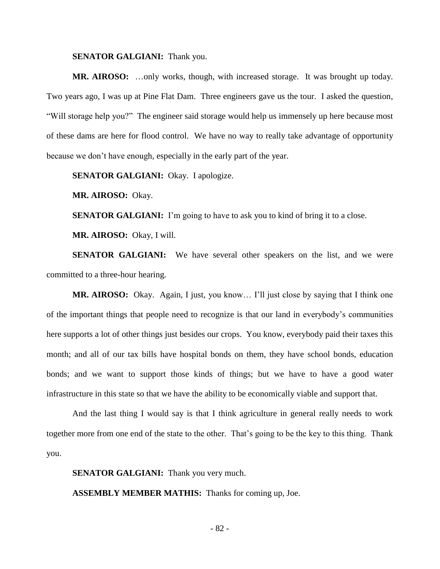## **SENATOR GALGIANI:** Thank you.

**MR. AIROSO:** …only works, though, with increased storage. It was brought up today. Two years ago, I was up at Pine Flat Dam. Three engineers gave us the tour. I asked the question, "Will storage help you?" The engineer said storage would help us immensely up here because most of these dams are here for flood control. We have no way to really take advantage of opportunity because we don't have enough, especially in the early part of the year.

**SENATOR GALGIANI:** Okay. I apologize.

**MR. AIROSO:** Okay.

**SENATOR GALGIANI:** I'm going to have to ask you to kind of bring it to a close.

**MR. AIROSO:** Okay, I will.

**SENATOR GALGIANI:** We have several other speakers on the list, and we were committed to a three-hour hearing.

**MR. AIROSO:** Okay. Again, I just, you know… I'll just close by saying that I think one of the important things that people need to recognize is that our land in everybody's communities here supports a lot of other things just besides our crops. You know, everybody paid their taxes this month; and all of our tax bills have hospital bonds on them, they have school bonds, education bonds; and we want to support those kinds of things; but we have to have a good water infrastructure in this state so that we have the ability to be economically viable and support that.

And the last thing I would say is that I think agriculture in general really needs to work together more from one end of the state to the other. That's going to be the key to this thing. Thank you.

**SENATOR GALGIANI:** Thank you very much.

**ASSEMBLY MEMBER MATHIS:** Thanks for coming up, Joe.